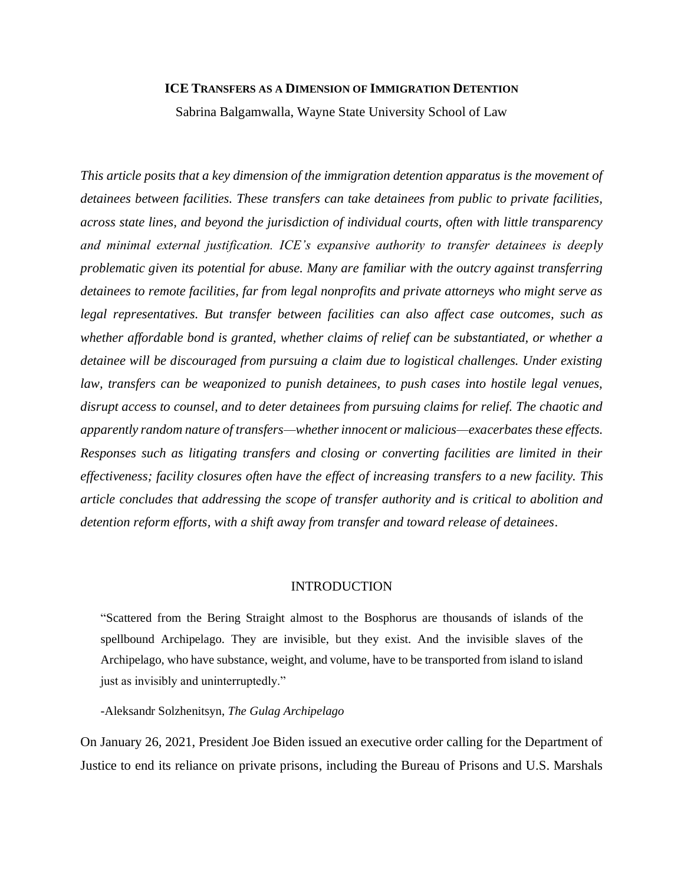#### **ICE TRANSFERS AS A DIMENSION OF IMMIGRATION DETENTION**

Sabrina Balgamwalla, Wayne State University School of Law

*This article posits that a key dimension of the immigration detention apparatus is the movement of detainees between facilities. These transfers can take detainees from public to private facilities, across state lines, and beyond the jurisdiction of individual courts, often with little transparency and minimal external justification. ICE's expansive authority to transfer detainees is deeply problematic given its potential for abuse. Many are familiar with the outcry against transferring detainees to remote facilities, far from legal nonprofits and private attorneys who might serve as legal representatives. But transfer between facilities can also affect case outcomes, such as whether affordable bond is granted, whether claims of relief can be substantiated, or whether a detainee will be discouraged from pursuing a claim due to logistical challenges. Under existing law, transfers can be weaponized to punish detainees, to push cases into hostile legal venues, disrupt access to counsel, and to deter detainees from pursuing claims for relief. The chaotic and apparently random nature of transfers—whether innocent or malicious—exacerbates these effects. Responses such as litigating transfers and closing or converting facilities are limited in their effectiveness; facility closures often have the effect of increasing transfers to a new facility. This article concludes that addressing the scope of transfer authority and is critical to abolition and detention reform efforts, with a shift away from transfer and toward release of detainees*.

#### INTRODUCTION

"Scattered from the Bering Straight almost to the Bosphorus are thousands of islands of the spellbound Archipelago. They are invisible, but they exist. And the invisible slaves of the Archipelago, who have substance, weight, and volume, have to be transported from island to island just as invisibly and uninterruptedly."

#### -Aleksandr Solzhenitsyn, *The Gulag Archipelago*

On January 26, 2021, President Joe Biden issued an executive order calling for the Department of Justice to end its reliance on private prisons, including the Bureau of Prisons and U.S. Marshals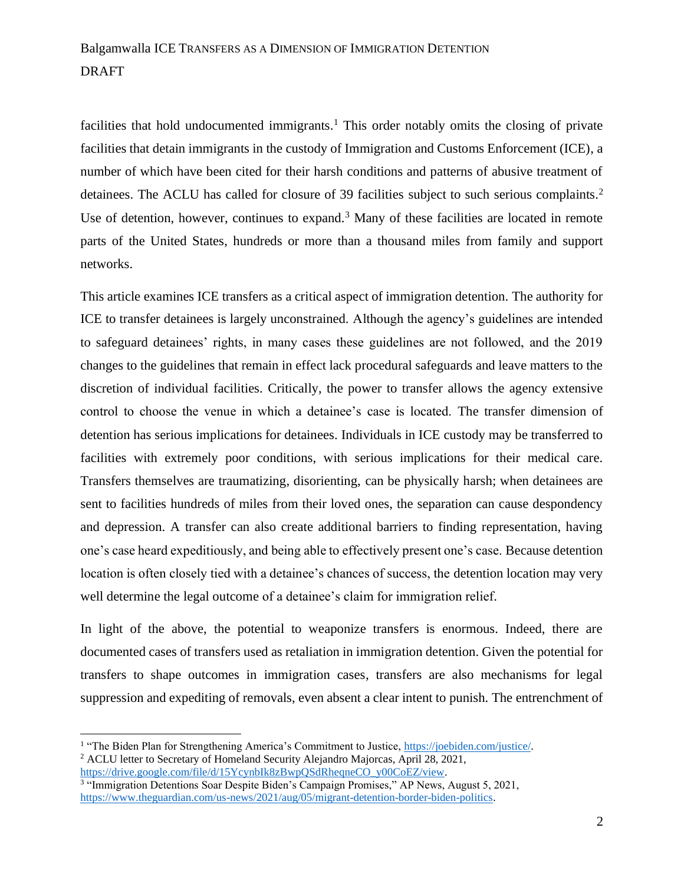facilities that hold undocumented immigrants.<sup>1</sup> This order notably omits the closing of private facilities that detain immigrants in the custody of Immigration and Customs Enforcement (ICE), a number of which have been cited for their harsh conditions and patterns of abusive treatment of detainees. The ACLU has called for closure of 39 facilities subject to such serious complaints.<sup>2</sup> Use of detention, however, continues to expand.<sup>3</sup> Many of these facilities are located in remote parts of the United States, hundreds or more than a thousand miles from family and support networks.

This article examines ICE transfers as a critical aspect of immigration detention. The authority for ICE to transfer detainees is largely unconstrained. Although the agency's guidelines are intended to safeguard detainees' rights, in many cases these guidelines are not followed, and the 2019 changes to the guidelines that remain in effect lack procedural safeguards and leave matters to the discretion of individual facilities. Critically, the power to transfer allows the agency extensive control to choose the venue in which a detainee's case is located. The transfer dimension of detention has serious implications for detainees. Individuals in ICE custody may be transferred to facilities with extremely poor conditions, with serious implications for their medical care. Transfers themselves are traumatizing, disorienting, can be physically harsh; when detainees are sent to facilities hundreds of miles from their loved ones, the separation can cause despondency and depression. A transfer can also create additional barriers to finding representation, having one's case heard expeditiously, and being able to effectively present one's case. Because detention location is often closely tied with a detainee's chances of success, the detention location may very well determine the legal outcome of a detainee's claim for immigration relief.

In light of the above, the potential to weaponize transfers is enormous. Indeed, there are documented cases of transfers used as retaliation in immigration detention. Given the potential for transfers to shape outcomes in immigration cases, transfers are also mechanisms for legal suppression and expediting of removals, even absent a clear intent to punish. The entrenchment of

<sup>&</sup>lt;sup>1</sup> "The Biden Plan for Strengthening America's Commitment to Justice[, https://joebiden.com/justice/.](https://joebiden.com/justice/) <sup>2</sup> ACLU letter to Secretary of Homeland Security Alejandro Majorcas, April 28, 2021,

[https://drive.google.com/file/d/15YcynbIk8zBwpQSdRheqneCO\\_y00CoEZ/view.](https://drive.google.com/file/d/15YcynbIk8zBwpQSdRheqneCO_y00CoEZ/view)<br><sup>3</sup> "Immigration Detentions Soar Despite Biden's Campaign Promises," AP News, August 5, 2021, [https://www.theguardian.com/us-news/2021/aug/05/migrant-detention-border-biden-politics.](https://www.theguardian.com/us-news/2021/aug/05/migrant-detention-border-biden-politics)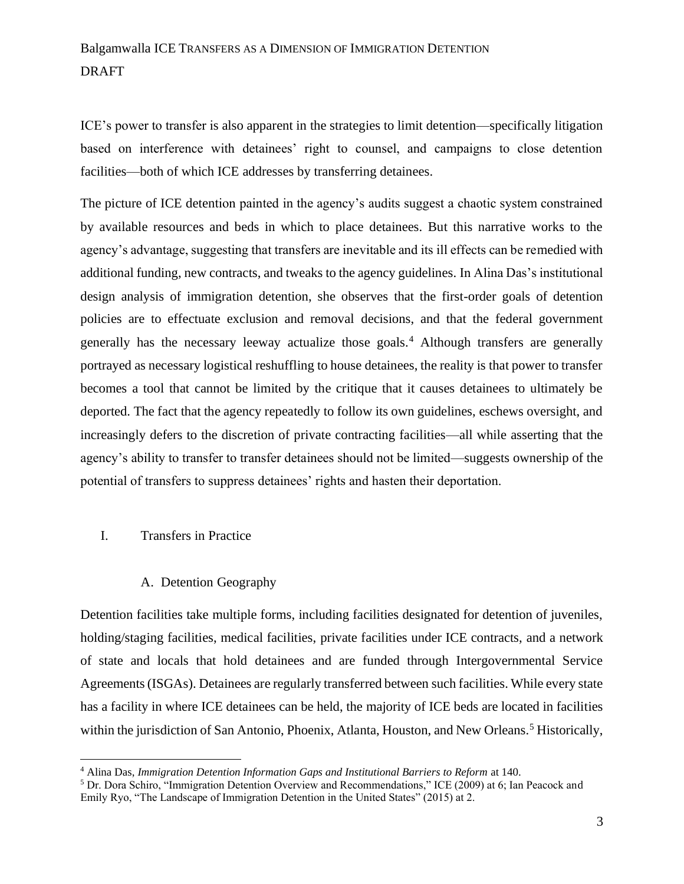ICE's power to transfer is also apparent in the strategies to limit detention—specifically litigation based on interference with detainees' right to counsel, and campaigns to close detention facilities—both of which ICE addresses by transferring detainees.

The picture of ICE detention painted in the agency's audits suggest a chaotic system constrained by available resources and beds in which to place detainees. But this narrative works to the agency's advantage, suggesting that transfers are inevitable and its ill effects can be remedied with additional funding, new contracts, and tweaks to the agency guidelines. In Alina Das's institutional design analysis of immigration detention, she observes that the first-order goals of detention policies are to effectuate exclusion and removal decisions, and that the federal government generally has the necessary leeway actualize those goals.<sup>4</sup> Although transfers are generally portrayed as necessary logistical reshuffling to house detainees, the reality is that power to transfer becomes a tool that cannot be limited by the critique that it causes detainees to ultimately be deported. The fact that the agency repeatedly to follow its own guidelines, eschews oversight, and increasingly defers to the discretion of private contracting facilities—all while asserting that the agency's ability to transfer to transfer detainees should not be limited—suggests ownership of the potential of transfers to suppress detainees' rights and hasten their deportation.

### I. Transfers in Practice

#### A. Detention Geography

Detention facilities take multiple forms, including facilities designated for detention of juveniles, holding/staging facilities, medical facilities, private facilities under ICE contracts, and a network of state and locals that hold detainees and are funded through Intergovernmental Service Agreements (ISGAs). Detainees are regularly transferred between such facilities. While every state has a facility in where ICE detainees can be held, the majority of ICE beds are located in facilities within the jurisdiction of San Antonio, Phoenix, Atlanta, Houston, and New Orleans.<sup>5</sup> Historically,

<sup>4</sup> Alina Das, *Immigration Detention Information Gaps and Institutional Barriers to Reform* at 140.

<sup>5</sup> Dr. Dora Schiro, "Immigration Detention Overview and Recommendations," ICE (2009) at 6; Ian Peacock and Emily Ryo, "The Landscape of Immigration Detention in the United States" (2015) at 2.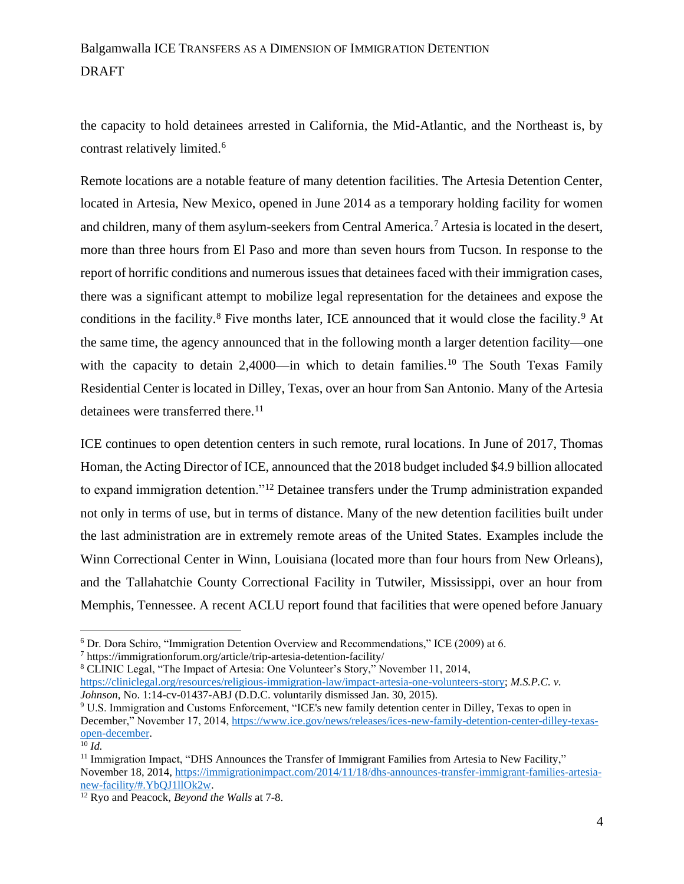the capacity to hold detainees arrested in California, the Mid-Atlantic, and the Northeast is, by contrast relatively limited.<sup>6</sup>

Remote locations are a notable feature of many detention facilities. The Artesia Detention Center, located in Artesia, New Mexico, opened in June 2014 as a temporary holding facility for women and children, many of them asylum-seekers from Central America.<sup>7</sup> Artesia is located in the desert, more than three hours from El Paso and more than seven hours from Tucson. In response to the report of horrific conditions and numerous issues that detainees faced with their immigration cases, there was a significant attempt to mobilize legal representation for the detainees and expose the conditions in the facility.<sup>8</sup> Five months later, ICE announced that it would close the facility.<sup>9</sup> At the same time, the agency announced that in the following month a larger detention facility—one with the capacity to detain 2,4000—in which to detain families.<sup>10</sup> The South Texas Family Residential Center is located in Dilley, Texas, over an hour from San Antonio. Many of the Artesia detainees were transferred there.<sup>11</sup>

ICE continues to open detention centers in such remote, rural locations. In June of 2017, Thomas Homan, the Acting Director of ICE, announced that the 2018 budget included \$4.9 billion allocated to expand immigration detention."<sup>12</sup> Detainee transfers under the Trump administration expanded not only in terms of use, but in terms of distance. Many of the new detention facilities built under the last administration are in extremely remote areas of the United States. Examples include the Winn Correctional Center in Winn, Louisiana (located more than four hours from New Orleans), and the Tallahatchie County Correctional Facility in Tutwiler, Mississippi, over an hour from Memphis, Tennessee. A recent ACLU report found that facilities that were opened before January

<sup>6</sup> Dr. Dora Schiro, "Immigration Detention Overview and Recommendations," ICE (2009) at 6.

<sup>7</sup> https://immigrationforum.org/article/trip-artesia-detention-facility/

<sup>8</sup> CLINIC Legal, "The Impact of Artesia: One Volunteer's Story," November 11, 2014, [https://cliniclegal.org/resources/religious-immigration-law/impact-artesia-one-volunteers-story;](https://cliniclegal.org/resources/religious-immigration-law/impact-artesia-one-volunteers-story) *M.S.P.C. v. Johnson*, No. 1:14-cv-01437-ABJ (D.D.C. voluntarily dismissed Jan. 30, 2015).

<sup>9</sup> U.S. Immigration and Customs Enforcement, "ICE's new family detention center in Dilley, Texas to open in December," November 17, 2014[, https://www.ice.gov/news/releases/ices-new-family-detention-center-dilley-texas](https://www.ice.gov/news/releases/ices-new-family-detention-center-dilley-texas-open-december)[open-december.](https://www.ice.gov/news/releases/ices-new-family-detention-center-dilley-texas-open-december)

 $\overline{^{10}}$  *Id.* 

<sup>&</sup>lt;sup>11</sup> Immigration Impact, "DHS Announces the Transfer of Immigrant Families from Artesia to New Facility," November 18, 2014, [https://immigrationimpact.com/2014/11/18/dhs-announces-transfer-immigrant-families-artesia](https://immigrationimpact.com/2014/11/18/dhs-announces-transfer-immigrant-families-artesia-new-facility/#.YbQJ1llOk2w)[new-facility/#.YbQJ1llOk2w.](https://immigrationimpact.com/2014/11/18/dhs-announces-transfer-immigrant-families-artesia-new-facility/#.YbQJ1llOk2w)

<sup>12</sup> Ryo and Peacock, *Beyond the Walls* at 7-8.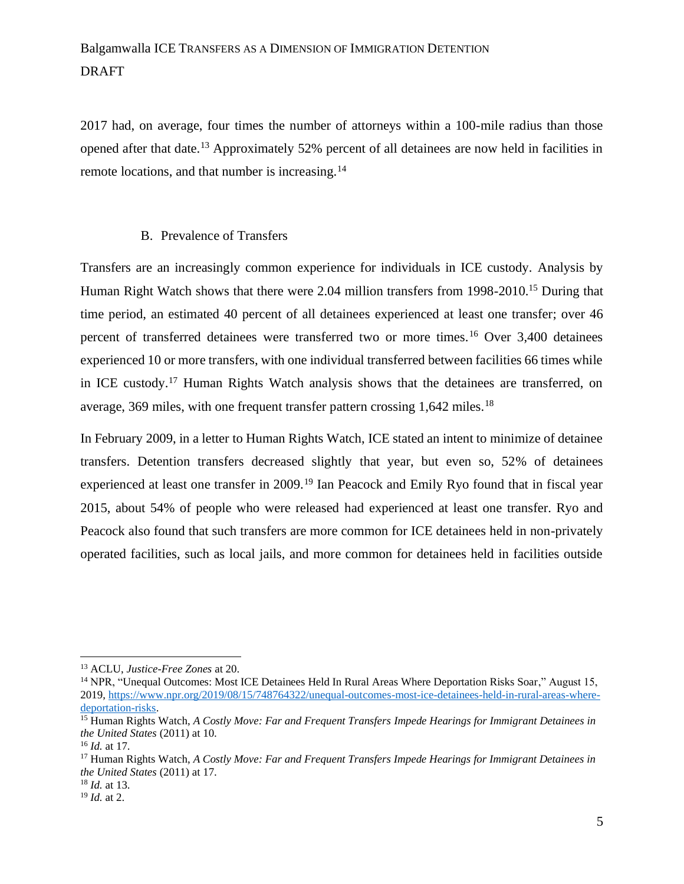2017 had, on average, four times the number of attorneys within a 100-mile radius than those opened after that date.<sup>13</sup> Approximately 52% percent of all detainees are now held in facilities in remote locations, and that number is increasing.<sup>14</sup>

#### B. Prevalence of Transfers

Transfers are an increasingly common experience for individuals in ICE custody. Analysis by Human Right Watch shows that there were 2.04 million transfers from 1998-2010.<sup>15</sup> During that time period, an estimated 40 percent of all detainees experienced at least one transfer; over 46 percent of transferred detainees were transferred two or more times.<sup>16</sup> Over 3,400 detainees experienced 10 or more transfers, with one individual transferred between facilities 66 times while in ICE custody.<sup>17</sup> Human Rights Watch analysis shows that the detainees are transferred, on average,  $369$  miles, with one frequent transfer pattern crossing 1,642 miles.<sup>18</sup>

In February 2009, in a letter to Human Rights Watch, ICE stated an intent to minimize of detainee transfers. Detention transfers decreased slightly that year, but even so, 52% of detainees experienced at least one transfer in 2009.<sup>19</sup> Ian Peacock and Emily Ryo found that in fiscal year 2015, about 54% of people who were released had experienced at least one transfer. Ryo and Peacock also found that such transfers are more common for ICE detainees held in non-privately operated facilities, such as local jails, and more common for detainees held in facilities outside

<sup>13</sup> ACLU, *Justice-Free Zones* at 20.

<sup>&</sup>lt;sup>14</sup> NPR, "Unequal Outcomes: Most ICE Detainees Held In Rural Areas Where Deportation Risks Soar," August 15, 2019, [https://www.npr.org/2019/08/15/748764322/unequal-outcomes-most-ice-detainees-held-in-rural-areas-where](https://www.npr.org/2019/08/15/748764322/unequal-outcomes-most-ice-detainees-held-in-rural-areas-where-deportation-risks)[deportation-risks.](https://www.npr.org/2019/08/15/748764322/unequal-outcomes-most-ice-detainees-held-in-rural-areas-where-deportation-risks)

<sup>15</sup> Human Rights Watch, *A Costly Move: Far and Frequent Transfers Impede Hearings for Immigrant Detainees in the United States* (2011) at 10.

<sup>16</sup> *Id.* at 17.

<sup>17</sup> Human Rights Watch, *A Costly Move: Far and Frequent Transfers Impede Hearings for Immigrant Detainees in the United States* (2011) at 17.

<sup>18</sup> *Id.* at 13.

<sup>19</sup> *Id.* at 2.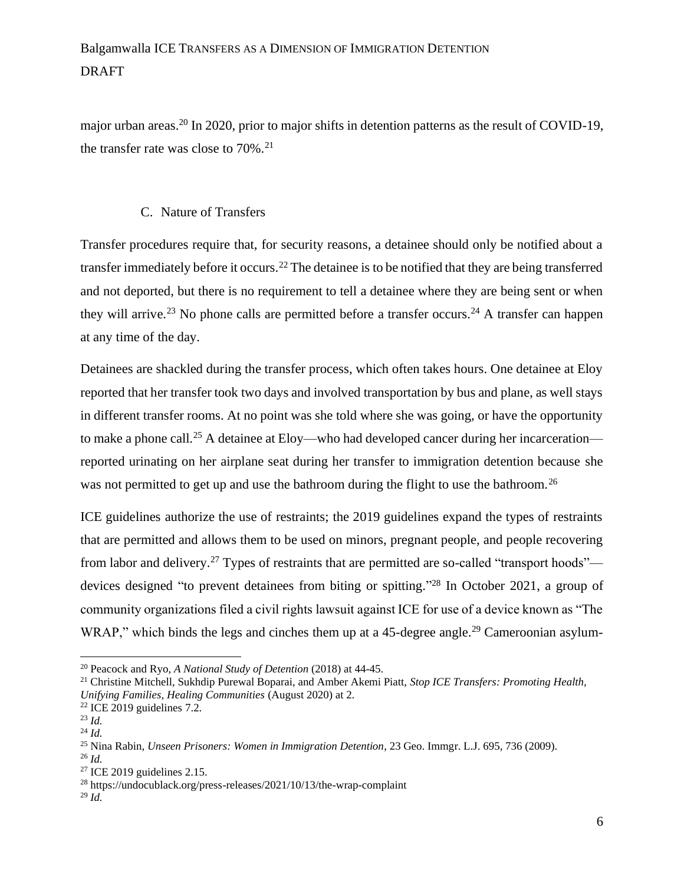major urban areas.<sup>20</sup> In 2020, prior to major shifts in detention patterns as the result of COVID-19, the transfer rate was close to  $70\%$ .<sup>21</sup>

### C. Nature of Transfers

Transfer procedures require that, for security reasons, a detainee should only be notified about a transfer immediately before it occurs.<sup>22</sup> The detainee is to be notified that they are being transferred and not deported, but there is no requirement to tell a detainee where they are being sent or when they will arrive.<sup>23</sup> No phone calls are permitted before a transfer occurs.<sup>24</sup> A transfer can happen at any time of the day.

Detainees are shackled during the transfer process, which often takes hours. One detainee at Eloy reported that her transfer took two days and involved transportation by bus and plane, as well stays in different transfer rooms. At no point was she told where she was going, or have the opportunity to make a phone call.<sup>25</sup> A detainee at Eloy—who had developed cancer during her incarceration reported urinating on her airplane seat during her transfer to immigration detention because she was not permitted to get up and use the bathroom during the flight to use the bathroom.<sup>26</sup>

ICE guidelines authorize the use of restraints; the 2019 guidelines expand the types of restraints that are permitted and allows them to be used on minors, pregnant people, and people recovering from labor and delivery.<sup>27</sup> Types of restraints that are permitted are so-called "transport hoods" devices designed "to prevent detainees from biting or spitting." <sup>28</sup> In October 2021, a group of community organizations filed a civil rights lawsuit against ICE for use of a device known as "The WRAP," which binds the legs and cinches them up at a 45-degree angle.<sup>29</sup> Cameroonian asylum-

<sup>20</sup> Peacock and Ryo, *A National Study of Detention* (2018) at 44-45.

<sup>21</sup> Christine Mitchell, Sukhdip Purewal Boparai, and Amber Akemi Piatt, *Stop ICE Transfers: Promoting Health, Unifying Families, Healing Communities* (August 2020) at 2.

 $22$  ICE 2019 guidelines 7.2.

<sup>23</sup> *Id.*

<sup>24</sup> *Id.*

<sup>25</sup> Nina Rabin, *Unseen Prisoners: Women in Immigration Detention*, 23 Geo. Immgr. L.J. 695, 736 (2009). <sup>26</sup> *Id.*

<sup>27</sup> ICE 2019 guidelines 2.15.

<sup>28</sup> https://undocublack.org/press-releases/2021/10/13/the-wrap-complaint

<sup>29</sup> *Id.*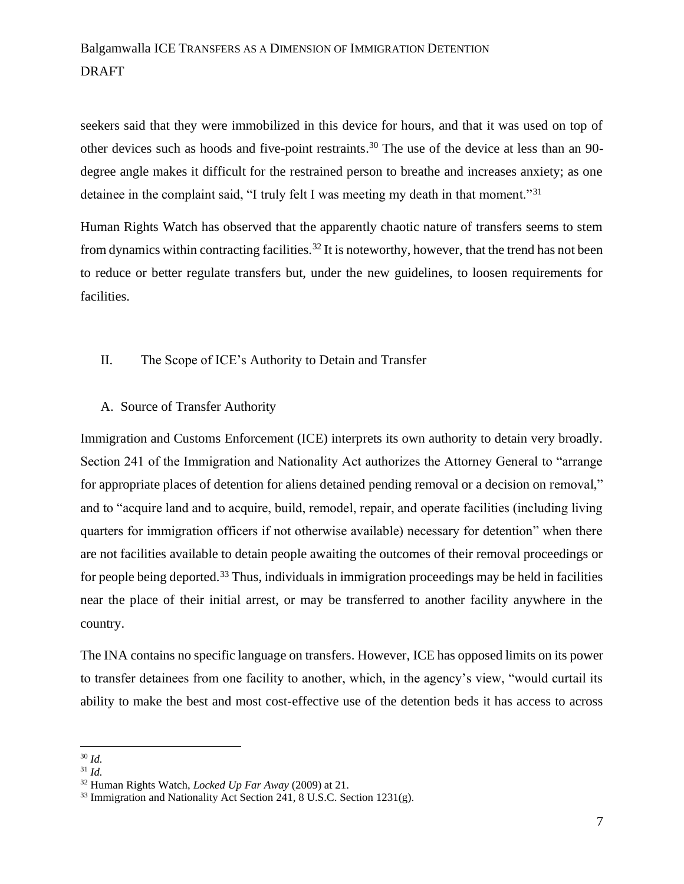seekers said that they were immobilized in this device for hours, and that it was used on top of other devices such as hoods and five-point restraints.<sup>30</sup> The use of the device at less than an 90 degree angle makes it difficult for the restrained person to breathe and increases anxiety; as one detainee in the complaint said, "I truly felt I was meeting my death in that moment."<sup>31</sup>

Human Rights Watch has observed that the apparently chaotic nature of transfers seems to stem from dynamics within contracting facilities.<sup>32</sup> It is noteworthy, however, that the trend has not been to reduce or better regulate transfers but, under the new guidelines, to loosen requirements for facilities.

#### II. The Scope of ICE's Authority to Detain and Transfer

### A. Source of Transfer Authority

Immigration and Customs Enforcement (ICE) interprets its own authority to detain very broadly. Section 241 of the Immigration and Nationality Act authorizes the Attorney General to "arrange for appropriate places of detention for aliens detained pending removal or a decision on removal," and to "acquire land and to acquire, build, remodel, repair, and operate facilities (including living quarters for immigration officers if not otherwise available) necessary for detention" when there are not facilities available to detain people awaiting the outcomes of their removal proceedings or for people being deported.<sup>33</sup> Thus, individuals in immigration proceedings may be held in facilities near the place of their initial arrest, or may be transferred to another facility anywhere in the country.

The INA contains no specific language on transfers. However, ICE has opposed limits on its power to transfer detainees from one facility to another, which, in the agency's view, "would curtail its ability to make the best and most cost-effective use of the detention beds it has access to across

<sup>30</sup> *Id.*

<sup>31</sup> *Id.*

<sup>32</sup> Human Rights Watch, *Locked Up Far Away* (2009) at 21.

 $33$  Immigration and Nationality Act Section 241, 8 U.S.C. Section 1231(g).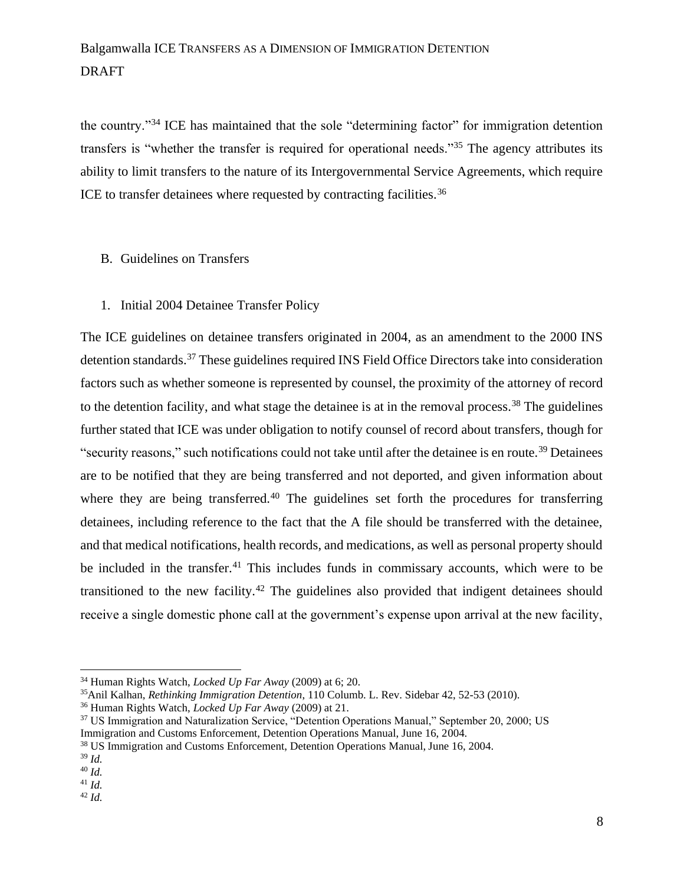the country."<sup>34</sup> ICE has maintained that the sole "determining factor" for immigration detention transfers is "whether the transfer is required for operational needs."<sup>35</sup> The agency attributes its ability to limit transfers to the nature of its Intergovernmental Service Agreements, which require ICE to transfer detainees where requested by contracting facilities.<sup>36</sup>

#### B. Guidelines on Transfers

1. Initial 2004 Detainee Transfer Policy

The ICE guidelines on detainee transfers originated in 2004, as an amendment to the 2000 INS detention standards.<sup>37</sup> These guidelines required INS Field Office Directors take into consideration factors such as whether someone is represented by counsel, the proximity of the attorney of record to the detention facility, and what stage the detainee is at in the removal process.<sup>38</sup> The guidelines further stated that ICE was under obligation to notify counsel of record about transfers, though for "security reasons," such notifications could not take until after the detainee is en route.<sup>39</sup> Detainees are to be notified that they are being transferred and not deported, and given information about where they are being transferred.<sup>40</sup> The guidelines set forth the procedures for transferring detainees, including reference to the fact that the A file should be transferred with the detainee, and that medical notifications, health records, and medications, as well as personal property should be included in the transfer.<sup>41</sup> This includes funds in commissary accounts, which were to be transitioned to the new facility.<sup>42</sup> The guidelines also provided that indigent detainees should receive a single domestic phone call at the government's expense upon arrival at the new facility,

<sup>34</sup> Human Rights Watch, *Locked Up Far Away* (2009) at 6; 20.

<sup>35</sup>Anil Kalhan, *Rethinking Immigration Detention*, 110 Columb. L. Rev. Sidebar 42, 52-53 (2010).

<sup>36</sup> Human Rights Watch, *Locked Up Far Away* (2009) at 21.

<sup>&</sup>lt;sup>37</sup> US Immigration and Naturalization Service, "Detention Operations Manual," September 20, 2000; US Immigration and Customs Enforcement, Detention Operations Manual, June 16, 2004.

<sup>38</sup> US Immigration and Customs Enforcement, Detention Operations Manual, June 16, 2004.

<sup>39</sup> *Id.*

<sup>40</sup> *Id.*

<sup>41</sup> *Id.* <sup>42</sup> *Id.*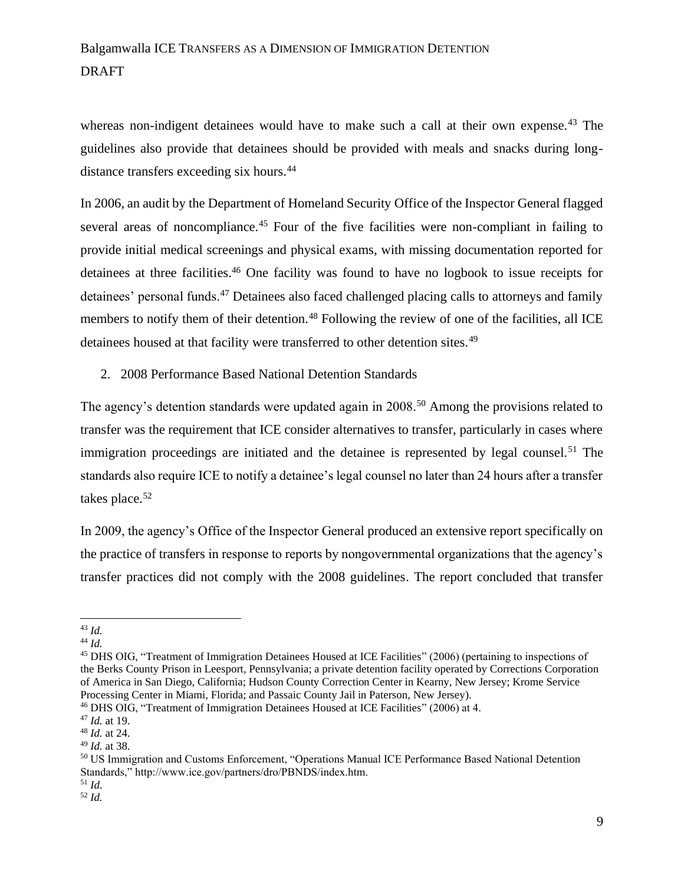whereas non-indigent detainees would have to make such a call at their own expense.<sup>43</sup> The guidelines also provide that detainees should be provided with meals and snacks during longdistance transfers exceeding six hours.<sup>44</sup>

In 2006, an audit by the Department of Homeland Security Office of the Inspector General flagged several areas of noncompliance.<sup>45</sup> Four of the five facilities were non-compliant in failing to provide initial medical screenings and physical exams, with missing documentation reported for detainees at three facilities.<sup>46</sup> One facility was found to have no logbook to issue receipts for detainees' personal funds.<sup>47</sup> Detainees also faced challenged placing calls to attorneys and family members to notify them of their detention.<sup>48</sup> Following the review of one of the facilities, all ICE detainees housed at that facility were transferred to other detention sites.<sup>49</sup>

2. 2008 Performance Based National Detention Standards

The agency's detention standards were updated again in 2008.<sup>50</sup> Among the provisions related to transfer was the requirement that ICE consider alternatives to transfer, particularly in cases where immigration proceedings are initiated and the detainee is represented by legal counsel.<sup>51</sup> The standards also require ICE to notify a detainee's legal counsel no later than 24 hours after a transfer takes place.<sup>52</sup>

In 2009, the agency's Office of the Inspector General produced an extensive report specifically on the practice of transfers in response to reports by nongovernmental organizations that the agency's transfer practices did not comply with the 2008 guidelines. The report concluded that transfer

<sup>43</sup> *Id.*

<sup>44</sup> *Id.*

<sup>45</sup> DHS OIG, "Treatment of Immigration Detainees Housed at ICE Facilities" (2006) (pertaining to inspections of the Berks County Prison in Leesport, Pennsylvania; a private detention facility operated by Corrections Corporation of America in San Diego, California; Hudson County Correction Center in Kearny, New Jersey; Krome Service Processing Center in Miami, Florida; and Passaic County Jail in Paterson, New Jersey).

<sup>46</sup> DHS OIG, "Treatment of Immigration Detainees Housed at ICE Facilities" (2006) at 4.

<sup>47</sup> *Id.* at 19.

<sup>48</sup> *Id.* at 24.

<sup>49</sup> *Id.* at 38.

<sup>50</sup> US Immigration and Customs Enforcement, "Operations Manual ICE Performance Based National Detention Standards," http://www.ice.gov/partners/dro/PBNDS/index.htm.

<sup>51</sup> *Id*. <sup>52</sup> *Id.*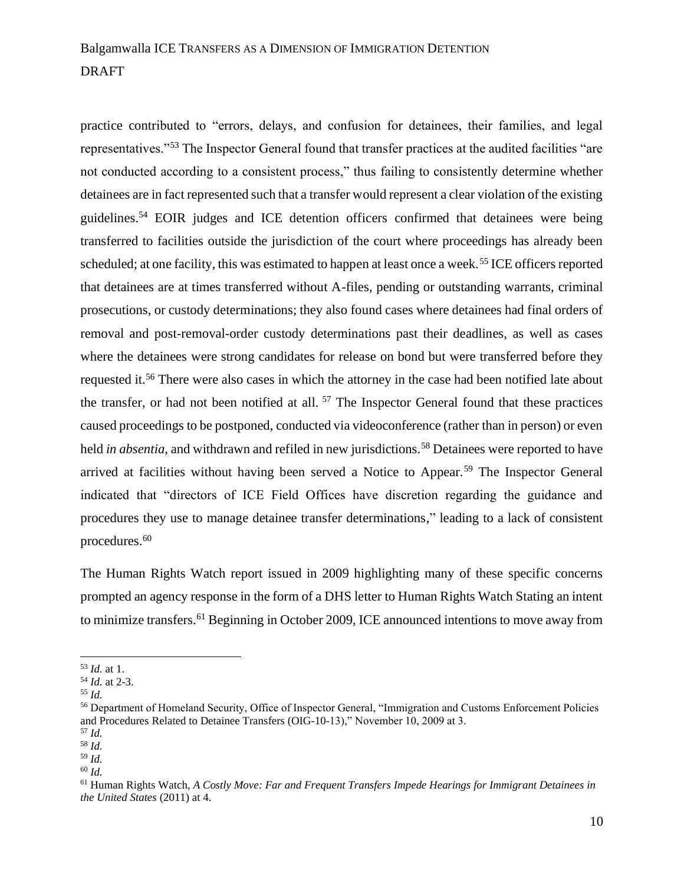practice contributed to "errors, delays, and confusion for detainees, their families, and legal representatives."<sup>53</sup> The Inspector General found that transfer practices at the audited facilities "are not conducted according to a consistent process," thus failing to consistently determine whether detainees are in fact represented such that a transfer would represent a clear violation of the existing guidelines.<sup>54</sup> EOIR judges and ICE detention officers confirmed that detainees were being transferred to facilities outside the jurisdiction of the court where proceedings has already been scheduled; at one facility, this was estimated to happen at least once a week.<sup>55</sup> ICE officers reported that detainees are at times transferred without A-files, pending or outstanding warrants, criminal prosecutions, or custody determinations; they also found cases where detainees had final orders of removal and post-removal-order custody determinations past their deadlines, as well as cases where the detainees were strong candidates for release on bond but were transferred before they requested it.<sup>56</sup> There were also cases in which the attorney in the case had been notified late about the transfer, or had not been notified at all. <sup>57</sup> The Inspector General found that these practices caused proceedings to be postponed, conducted via videoconference (rather than in person) or even held *in absentia*, and withdrawn and refiled in new jurisdictions.<sup>58</sup> Detainees were reported to have arrived at facilities without having been served a Notice to Appear.<sup>59</sup> The Inspector General indicated that "directors of ICE Field Offices have discretion regarding the guidance and procedures they use to manage detainee transfer determinations," leading to a lack of consistent procedures.<sup>60</sup>

The Human Rights Watch report issued in 2009 highlighting many of these specific concerns prompted an agency response in the form of a DHS letter to Human Rights Watch Stating an intent to minimize transfers.<sup>61</sup> Beginning in October 2009, ICE announced intentions to move away from

<sup>53</sup> *Id.* at 1.

<sup>54</sup> *Id.* at 2-3.

<sup>55</sup> *Id.*

<sup>56</sup> Department of Homeland Security, Office of Inspector General, "Immigration and Customs Enforcement Policies and Procedures Related to Detainee Transfers (OIG-10-13)," November 10, 2009 at 3.

<sup>57</sup> *Id.*

<sup>58</sup> *Id.* <sup>59</sup> *Id.*

<sup>60</sup> *Id.*

<sup>61</sup> Human Rights Watch, *A Costly Move: Far and Frequent Transfers Impede Hearings for Immigrant Detainees in the United States* (2011) at 4.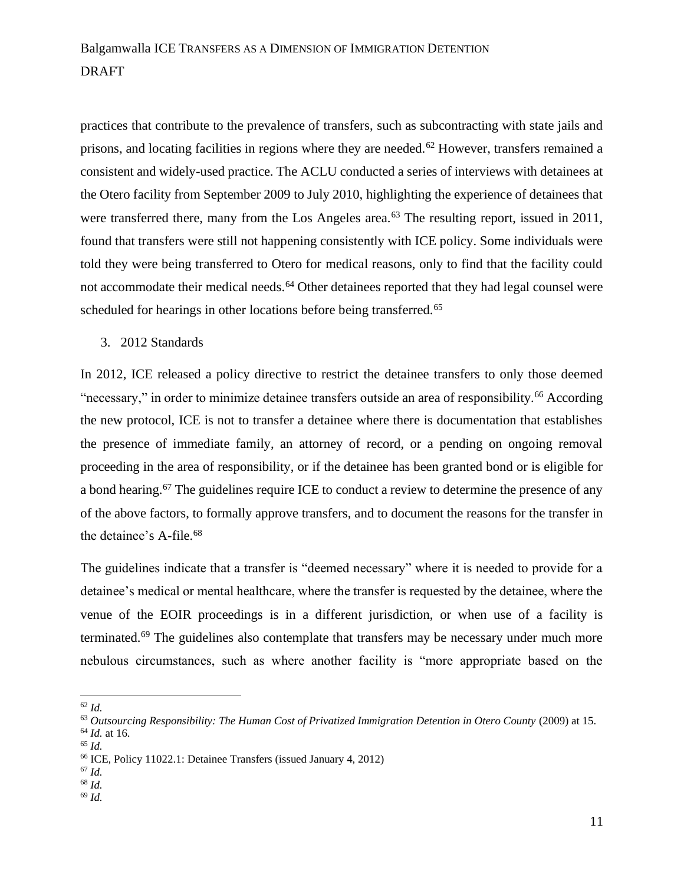practices that contribute to the prevalence of transfers, such as subcontracting with state jails and prisons, and locating facilities in regions where they are needed.<sup>62</sup> However, transfers remained a consistent and widely-used practice. The ACLU conducted a series of interviews with detainees at the Otero facility from September 2009 to July 2010, highlighting the experience of detainees that were transferred there, many from the Los Angeles area.<sup>63</sup> The resulting report, issued in 2011, found that transfers were still not happening consistently with ICE policy. Some individuals were told they were being transferred to Otero for medical reasons, only to find that the facility could not accommodate their medical needs.<sup>64</sup> Other detainees reported that they had legal counsel were scheduled for hearings in other locations before being transferred.<sup>65</sup>

3. 2012 Standards

In 2012, ICE released a policy directive to restrict the detainee transfers to only those deemed "necessary," in order to minimize detainee transfers outside an area of responsibility.<sup>66</sup> According the new protocol, ICE is not to transfer a detainee where there is documentation that establishes the presence of immediate family, an attorney of record, or a pending on ongoing removal proceeding in the area of responsibility, or if the detainee has been granted bond or is eligible for a bond hearing.<sup>67</sup> The guidelines require ICE to conduct a review to determine the presence of any of the above factors, to formally approve transfers, and to document the reasons for the transfer in the detainee's A-file.<sup>68</sup>

The guidelines indicate that a transfer is "deemed necessary" where it is needed to provide for a detainee's medical or mental healthcare, where the transfer is requested by the detainee, where the venue of the EOIR proceedings is in a different jurisdiction, or when use of a facility is terminated.<sup>69</sup> The guidelines also contemplate that transfers may be necessary under much more nebulous circumstances, such as where another facility is "more appropriate based on the

<sup>62</sup> *Id.*

<sup>69</sup> *Id.*

<sup>63</sup> *Outsourcing Responsibility: The Human Cost of Privatized Immigration Detention in Otero County* (2009) at 15. <sup>64</sup> *Id.* at 16.

<sup>65</sup> *Id.*

<sup>66</sup> ICE, Policy 11022.1: Detainee Transfers (issued January 4, 2012)

<sup>67</sup> *Id.*

<sup>68</sup> *Id.*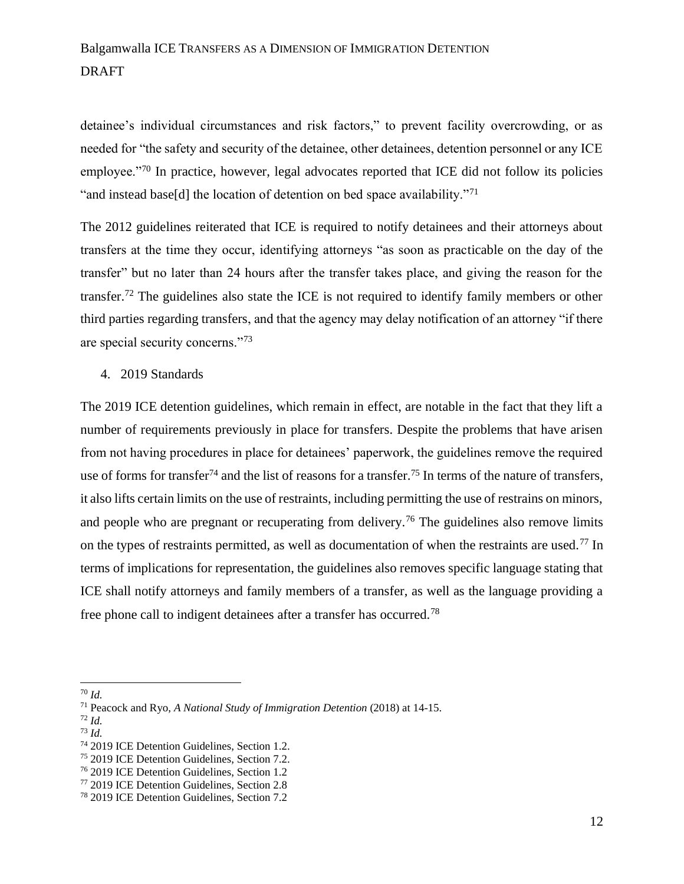detainee's individual circumstances and risk factors," to prevent facility overcrowding, or as needed for "the safety and security of the detainee, other detainees, detention personnel or any ICE employee."<sup>70</sup> In practice, however, legal advocates reported that ICE did not follow its policies "and instead base[d] the location of detention on bed space availability."<sup>71</sup>

The 2012 guidelines reiterated that ICE is required to notify detainees and their attorneys about transfers at the time they occur, identifying attorneys "as soon as practicable on the day of the transfer" but no later than 24 hours after the transfer takes place, and giving the reason for the transfer.<sup>72</sup> The guidelines also state the ICE is not required to identify family members or other third parties regarding transfers, and that the agency may delay notification of an attorney "if there are special security concerns."<sup>73</sup>

4. 2019 Standards

The 2019 ICE detention guidelines, which remain in effect, are notable in the fact that they lift a number of requirements previously in place for transfers. Despite the problems that have arisen from not having procedures in place for detainees' paperwork, the guidelines remove the required use of forms for transfer<sup>74</sup> and the list of reasons for a transfer.<sup>75</sup> In terms of the nature of transfers, it also lifts certain limits on the use of restraints, including permitting the use of restrains on minors, and people who are pregnant or recuperating from delivery.<sup>76</sup> The guidelines also remove limits on the types of restraints permitted, as well as documentation of when the restraints are used.<sup>77</sup> In terms of implications for representation, the guidelines also removes specific language stating that ICE shall notify attorneys and family members of a transfer, as well as the language providing a free phone call to indigent detainees after a transfer has occurred.<sup>78</sup>

<sup>73</sup> *Id.*

<sup>70</sup> *Id.*

<sup>71</sup> Peacock and Ryo, *A National Study of Immigration Detention* (2018) at 14-15.

<sup>72</sup> *Id.*

<sup>74</sup> 2019 ICE Detention Guidelines, Section 1.2.

<sup>75</sup> 2019 ICE Detention Guidelines, Section 7.2.

<sup>76</sup> 2019 ICE Detention Guidelines, Section 1.2

<sup>77</sup> 2019 ICE Detention Guidelines, Section 2.8

<sup>78</sup> 2019 ICE Detention Guidelines, Section 7.2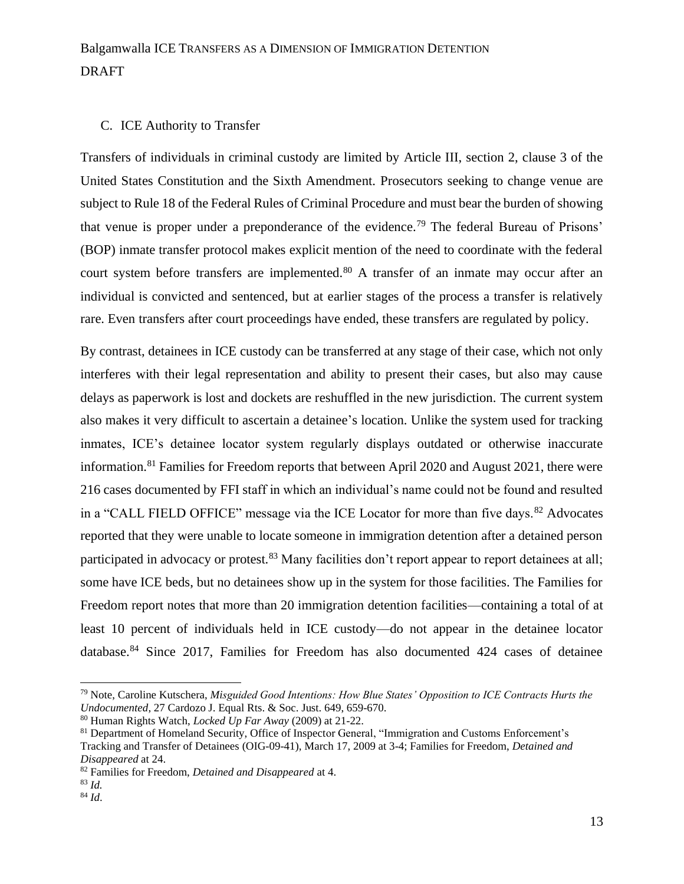### C. ICE Authority to Transfer

Transfers of individuals in criminal custody are limited by Article III, section 2, clause 3 of the United States Constitution and the Sixth Amendment. Prosecutors seeking to change venue are subject to Rule 18 of the Federal Rules of Criminal Procedure and must bear the burden of showing that venue is proper under a preponderance of the evidence.<sup>79</sup> The federal Bureau of Prisons' (BOP) inmate transfer protocol makes explicit mention of the need to coordinate with the federal court system before transfers are implemented.<sup>80</sup> A transfer of an inmate may occur after an individual is convicted and sentenced, but at earlier stages of the process a transfer is relatively rare. Even transfers after court proceedings have ended, these transfers are regulated by policy.

By contrast, detainees in ICE custody can be transferred at any stage of their case, which not only interferes with their legal representation and ability to present their cases, but also may cause delays as paperwork is lost and dockets are reshuffled in the new jurisdiction. The current system also makes it very difficult to ascertain a detainee's location. Unlike the system used for tracking inmates, ICE's detainee locator system regularly displays outdated or otherwise inaccurate information.<sup>81</sup> Families for Freedom reports that between April 2020 and August 2021, there were 216 cases documented by FFI staff in which an individual's name could not be found and resulted in a "CALL FIELD OFFICE" message via the ICE Locator for more than five days.<sup>82</sup> Advocates reported that they were unable to locate someone in immigration detention after a detained person participated in advocacy or protest.<sup>83</sup> Many facilities don't report appear to report detainees at all; some have ICE beds, but no detainees show up in the system for those facilities. The Families for Freedom report notes that more than 20 immigration detention facilities—containing a total of at least 10 percent of individuals held in ICE custody—do not appear in the detainee locator database.<sup>84</sup> Since 2017, Families for Freedom has also documented 424 cases of detainee

<sup>79</sup> Note, Caroline Kutschera, *Misguided Good Intentions: How Blue States' Opposition to ICE Contracts Hurts the Undocumented*, 27 Cardozo J. Equal Rts. & Soc. Just. 649, 659-670.

<sup>80</sup> Human Rights Watch, *Locked Up Far Away* (2009) at 21-22.

<sup>81</sup> Department of Homeland Security, Office of Inspector General, "Immigration and Customs Enforcement's Tracking and Transfer of Detainees (OIG-09-41), March 17, 2009 at 3-4; Families for Freedom, *Detained and Disappeared* at 24.

<sup>82</sup> Families for Freedom, *Detained and Disappeared* at 4.

<sup>83</sup> *Id.*

<sup>84</sup> *Id*.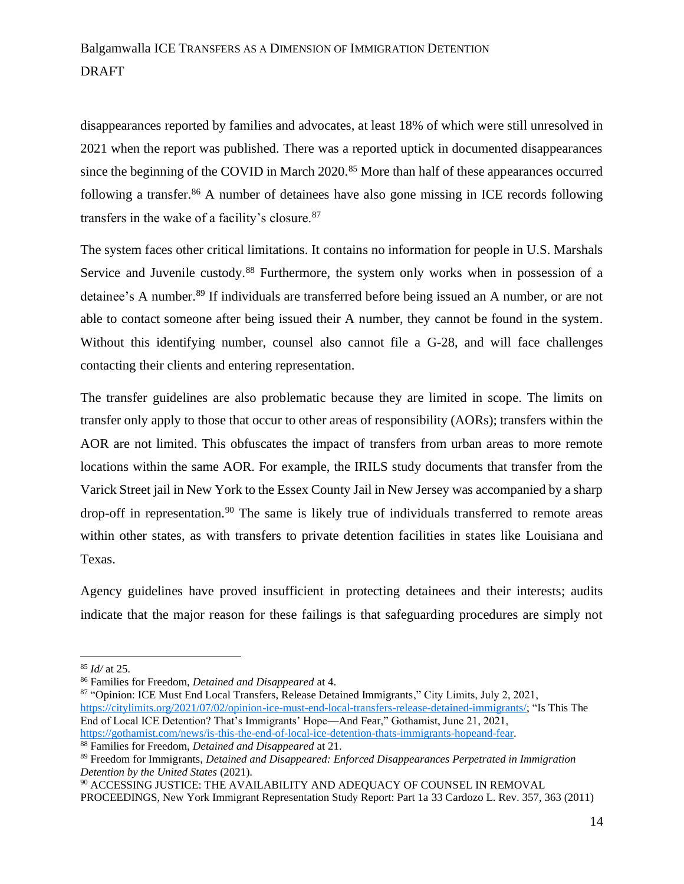disappearances reported by families and advocates, at least 18% of which were still unresolved in 2021 when the report was published. There was a reported uptick in documented disappearances since the beginning of the COVID in March 2020.<sup>85</sup> More than half of these appearances occurred following a transfer.<sup>86</sup> A number of detainees have also gone missing in ICE records following transfers in the wake of a facility's closure.<sup>87</sup>

The system faces other critical limitations. It contains no information for people in U.S. Marshals Service and Juvenile custody.<sup>88</sup> Furthermore, the system only works when in possession of a detainee's A number.<sup>89</sup> If individuals are transferred before being issued an A number, or are not able to contact someone after being issued their A number, they cannot be found in the system. Without this identifying number, counsel also cannot file a G-28, and will face challenges contacting their clients and entering representation.

The transfer guidelines are also problematic because they are limited in scope. The limits on transfer only apply to those that occur to other areas of responsibility (AORs); transfers within the AOR are not limited. This obfuscates the impact of transfers from urban areas to more remote locations within the same AOR. For example, the IRILS study documents that transfer from the Varick Street jail in New York to the Essex County Jail in New Jersey was accompanied by a sharp drop-off in representation.<sup>90</sup> The same is likely true of individuals transferred to remote areas within other states, as with transfers to private detention facilities in states like Louisiana and Texas.

Agency guidelines have proved insufficient in protecting detainees and their interests; audits indicate that the major reason for these failings is that safeguarding procedures are simply not

<sup>88</sup> Families for Freedom, *Detained and Disappeared* at 21.

<sup>85</sup> *Id/* at 25.

<sup>86</sup> Families for Freedom, *Detained and Disappeared* at 4.

<sup>87 &</sup>quot;Opinion: ICE Must End Local Transfers, Release Detained Immigrants," City Limits, July 2, 2021, [https://citylimits.org/2021/07/02/opinion-ice-must-end-local-transfers-release-detained-immigrants/;](https://citylimits.org/2021/07/02/opinion-ice-must-end-local-transfers-release-detained-immigrants/) "Is This The End of Local ICE Detention? That's Immigrants' Hope—And Fear," Gothamist, June 21, 2021, [https://gothamist.com/news/is-this-the-end-of-local-ice-detention-thats-immigrants-hopeand-fear.](https://gothamist.com/news/is-this-the-end-of-local-ice-detention-thats-immigrants-hopeand-fear)

<sup>89</sup> Freedom for Immigrants, *Detained and Disappeared: Enforced Disappearances Perpetrated in Immigration Detention by the United States* (2021).

<sup>90</sup> ACCESSING JUSTICE: THE AVAILABILITY AND ADEQUACY OF COUNSEL IN REMOVAL PROCEEDINGS, New York Immigrant Representation Study Report: Part 1a 33 Cardozo L. Rev. 357, 363 (2011)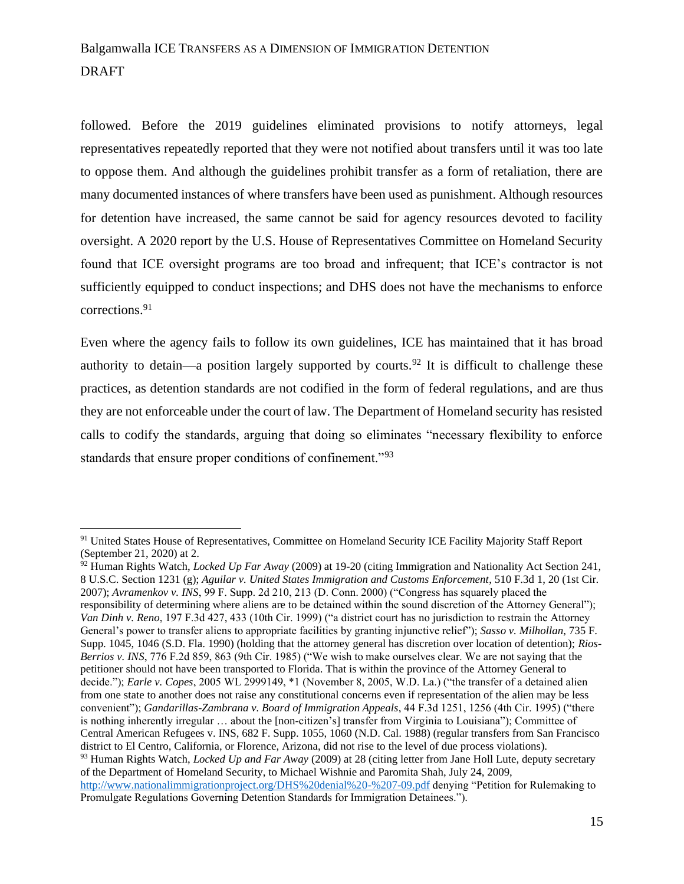followed. Before the 2019 guidelines eliminated provisions to notify attorneys, legal representatives repeatedly reported that they were not notified about transfers until it was too late to oppose them. And although the guidelines prohibit transfer as a form of retaliation, there are many documented instances of where transfers have been used as punishment. Although resources for detention have increased, the same cannot be said for agency resources devoted to facility oversight. A 2020 report by the U.S. House of Representatives Committee on Homeland Security found that ICE oversight programs are too broad and infrequent; that ICE's contractor is not sufficiently equipped to conduct inspections; and DHS does not have the mechanisms to enforce corrections.<sup>91</sup>

Even where the agency fails to follow its own guidelines, ICE has maintained that it has broad authority to detain—a position largely supported by courts.<sup>92</sup> It is difficult to challenge these practices, as detention standards are not codified in the form of federal regulations, and are thus they are not enforceable under the court of law. The Department of Homeland security has resisted calls to codify the standards, arguing that doing so eliminates "necessary flexibility to enforce standards that ensure proper conditions of confinement."<sup>93</sup>

<sup>&</sup>lt;sup>91</sup> United States House of Representatives, Committee on Homeland Security ICE Facility Majority Staff Report (September 21, 2020) at 2.

<sup>92</sup> Human Rights Watch, *Locked Up Far Away* (2009) at 19-20 (citing Immigration and Nationality Act Section 241, 8 U.S.C. Section 1231 (g); *Aguilar v. United States Immigration and Customs Enforcement*, 510 F.3d 1, 20 (1st Cir. 2007); *Avramenkov v. INS*, 99 F. Supp. 2d 210, 213 (D. Conn. 2000) ("Congress has squarely placed the responsibility of determining where aliens are to be detained within the sound discretion of the Attorney General"); *Van Dinh v. Reno*, 197 F.3d 427, 433 (10th Cir. 1999) ("a district court has no jurisdiction to restrain the Attorney General's power to transfer aliens to appropriate facilities by granting injunctive relief"); *Sasso v. Milhollan*, 735 F. Supp. 1045, 1046 (S.D. Fla. 1990) (holding that the attorney general has discretion over location of detention); *Rios-Berrios v. INS*, 776 F.2d 859, 863 (9th Cir. 1985) ("We wish to make ourselves clear. We are not saying that the petitioner should not have been transported to Florida. That is within the province of the Attorney General to decide."); *Earle v. Copes*, 2005 WL 2999149, \*1 (November 8, 2005, W.D. La.) ("the transfer of a detained alien from one state to another does not raise any constitutional concerns even if representation of the alien may be less convenient"); *Gandarillas-Zambrana v. Board of Immigration Appeals*, 44 F.3d 1251, 1256 (4th Cir. 1995) ("there is nothing inherently irregular … about the [non-citizen's] transfer from Virginia to Louisiana"); Committee of Central American Refugees v. INS, 682 F. Supp. 1055, 1060 (N.D. Cal. 1988) (regular transfers from San Francisco district to El Centro, California, or Florence, Arizona, did not rise to the level of due process violations). <sup>93</sup> Human Rights Watch, *Locked Up and Far Away* (2009) at 28 (citing letter from Jane Holl Lute, deputy secretary of the Department of Homeland Security, to Michael Wishnie and Paromita Shah, July 24, 2009,

<http://www.nationalimmigrationproject.org/DHS%20denial%20-%207-09.pdf> denying "Petition for Rulemaking to Promulgate Regulations Governing Detention Standards for Immigration Detainees.").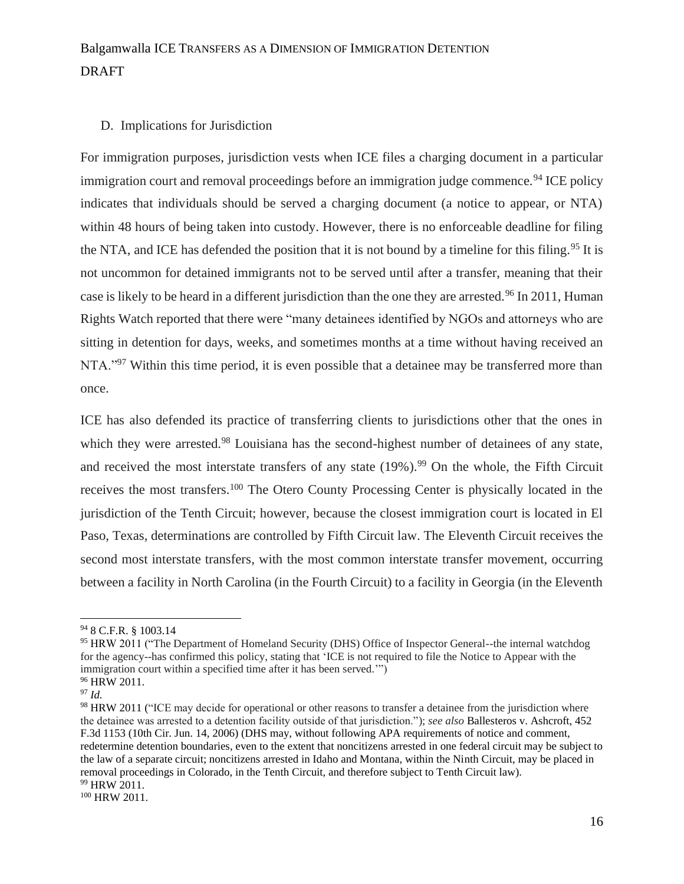### D. Implications for Jurisdiction

For immigration purposes, jurisdiction vests when ICE files a charging document in a particular immigration court and removal proceedings before an immigration judge commence.<sup>94</sup> ICE policy indicates that individuals should be served a charging document (a notice to appear, or NTA) within 48 hours of being taken into custody. However, there is no enforceable deadline for filing the NTA, and ICE has defended the position that it is not bound by a timeline for this filing.<sup>95</sup> It is not uncommon for detained immigrants not to be served until after a transfer, meaning that their case is likely to be heard in a different jurisdiction than the one they are arrested.<sup>96</sup> In 2011, Human Rights Watch reported that there were "many detainees identified by NGOs and attorneys who are sitting in detention for days, weeks, and sometimes months at a time without having received an NTA."<sup>97</sup> Within this time period, it is even possible that a detainee may be transferred more than once.

ICE has also defended its practice of transferring clients to jurisdictions other that the ones in which they were arrested.<sup>98</sup> Louisiana has the second-highest number of detainees of any state, and received the most interstate transfers of any state  $(19\%)$ .<sup>99</sup> On the whole, the Fifth Circuit receives the most transfers.<sup>100</sup> The Otero County Processing Center is physically located in the jurisdiction of the Tenth Circuit; however, because the closest immigration court is located in El Paso, Texas, determinations are controlled by Fifth Circuit law. The Eleventh Circuit receives the second most interstate transfers, with the most common interstate transfer movement, occurring between a facility in North Carolina (in the Fourth Circuit) to a facility in Georgia (in the Eleventh

<sup>94</sup> 8 C.F.R. § 1003.14

<sup>95</sup> HRW 2011 ("The Department of Homeland Security (DHS) Office of Inspector General--the internal watchdog for the agency--has confirmed this policy, stating that 'ICE is not required to file the Notice to Appear with the immigration court within a specified time after it has been served.'") <sup>96</sup> HRW 2011.

<sup>97</sup> *Id.*

<sup>98</sup> HRW 2011 ("ICE may decide for operational or other reasons to transfer a detainee from the jurisdiction where the detainee was arrested to a detention facility outside of that jurisdiction."); *see also* Ballesteros v. Ashcroft, 452 F.3d 1153 (10th Cir. Jun. 14, 2006) (DHS may, without following APA requirements of notice and comment, redetermine detention boundaries, even to the extent that noncitizens arrested in one federal circuit may be subject to the law of a separate circuit; noncitizens arrested in Idaho and Montana, within the Ninth Circuit, may be placed in removal proceedings in Colorado, in the Tenth Circuit, and therefore subject to Tenth Circuit law). <sup>99</sup> HRW 2011.

<sup>100</sup> HRW 2011.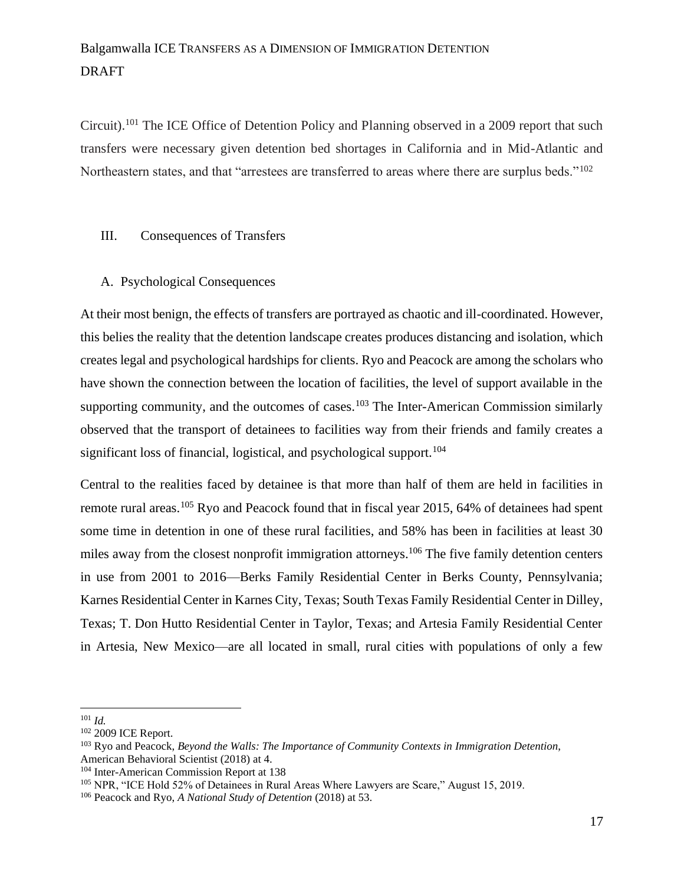Circuit).<sup>101</sup> The ICE Office of Detention Policy and Planning observed in a 2009 report that such transfers were necessary given detention bed shortages in California and in Mid-Atlantic and Northeastern states, and that "arrestees are transferred to areas where there are surplus beds."<sup>102</sup>

#### III. Consequences of Transfers

#### A. Psychological Consequences

At their most benign, the effects of transfers are portrayed as chaotic and ill-coordinated. However, this belies the reality that the detention landscape creates produces distancing and isolation, which creates legal and psychological hardships for clients. Ryo and Peacock are among the scholars who have shown the connection between the location of facilities, the level of support available in the supporting community, and the outcomes of cases.<sup>103</sup> The Inter-American Commission similarly observed that the transport of detainees to facilities way from their friends and family creates a significant loss of financial, logistical, and psychological support.<sup>104</sup>

Central to the realities faced by detainee is that more than half of them are held in facilities in remote rural areas.<sup>105</sup> Ryo and Peacock found that in fiscal year 2015, 64% of detainees had spent some time in detention in one of these rural facilities, and 58% has been in facilities at least 30 miles away from the closest nonprofit immigration attorneys.<sup>106</sup> The five family detention centers in use from 2001 to 2016—Berks Family Residential Center in Berks County, Pennsylvania; Karnes Residential Center in Karnes City, Texas; South Texas Family Residential Center in Dilley, Texas; T. Don Hutto Residential Center in Taylor, Texas; and Artesia Family Residential Center in Artesia, New Mexico—are all located in small, rural cities with populations of only a few

<sup>101</sup> *Id.*

<sup>102</sup> 2009 ICE Report.

<sup>103</sup> Ryo and Peacock, *Beyond the Walls: The Importance of Community Contexts in Immigration Detention*, American Behavioral Scientist (2018) at 4.

<sup>104</sup> Inter-American Commission Report at 138

<sup>105</sup> NPR, "ICE Hold 52% of Detainees in Rural Areas Where Lawyers are Scare," August 15, 2019.

<sup>106</sup> Peacock and Ryo, *A National Study of Detention* (2018) at 53.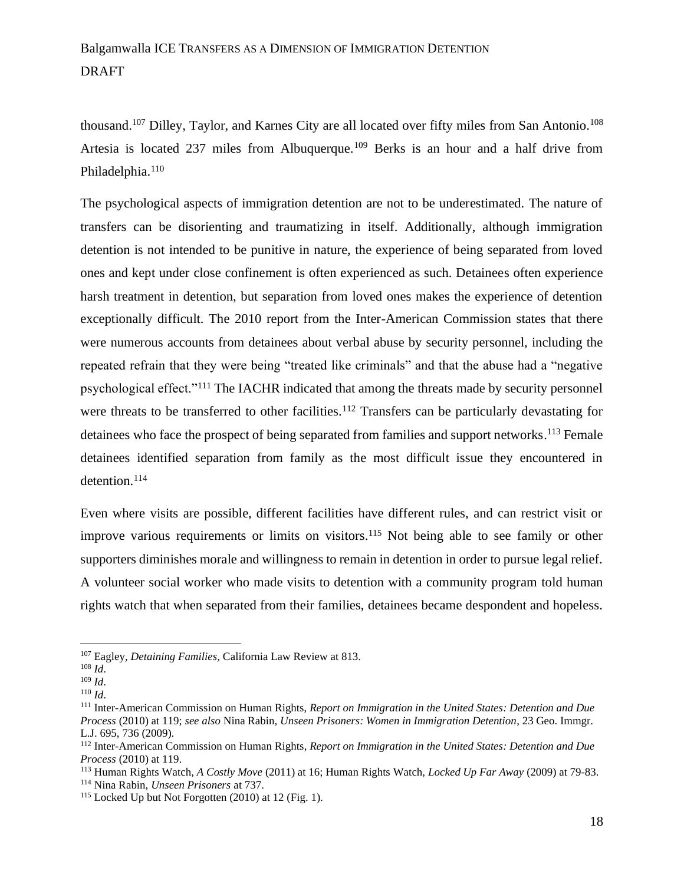thousand.<sup>107</sup> Dilley, Taylor, and Karnes City are all located over fifty miles from San Antonio.<sup>108</sup> Artesia is located 237 miles from Albuquerque.<sup>109</sup> Berks is an hour and a half drive from Philadelphia.<sup>110</sup>

The psychological aspects of immigration detention are not to be underestimated. The nature of transfers can be disorienting and traumatizing in itself. Additionally, although immigration detention is not intended to be punitive in nature, the experience of being separated from loved ones and kept under close confinement is often experienced as such. Detainees often experience harsh treatment in detention, but separation from loved ones makes the experience of detention exceptionally difficult. The 2010 report from the Inter-American Commission states that there were numerous accounts from detainees about verbal abuse by security personnel, including the repeated refrain that they were being "treated like criminals" and that the abuse had a "negative psychological effect."<sup>111</sup> The IACHR indicated that among the threats made by security personnel were threats to be transferred to other facilities.<sup>112</sup> Transfers can be particularly devastating for detainees who face the prospect of being separated from families and support networks.<sup>113</sup> Female detainees identified separation from family as the most difficult issue they encountered in detention.<sup>114</sup>

Even where visits are possible, different facilities have different rules, and can restrict visit or improve various requirements or limits on visitors.<sup>115</sup> Not being able to see family or other supporters diminishes morale and willingness to remain in detention in order to pursue legal relief. A volunteer social worker who made visits to detention with a community program told human rights watch that when separated from their families, detainees became despondent and hopeless.

<sup>107</sup> Eagley, *Detaining Families,* California Law Review at 813.

<sup>108</sup> *Id*.

<sup>109</sup> *Id*.

<sup>110</sup> *Id*.

<sup>111</sup> Inter-American Commission on Human Rights, *Report on Immigration in the United States: Detention and Due Process* (2010) at 119; *see also* Nina Rabin, *Unseen Prisoners: Women in Immigration Detention*, 23 Geo. Immgr. L.J. 695, 736 (2009).

<sup>112</sup> Inter-American Commission on Human Rights, *Report on Immigration in the United States: Detention and Due Process* (2010) at 119.

<sup>113</sup> Human Rights Watch, *A Costly Move* (2011) at 16; Human Rights Watch, *Locked Up Far Away* (2009) at 79-83. <sup>114</sup> Nina Rabin, *Unseen Prisoners* at 737.

 $115$  Locked Up but Not Forgotten (2010) at 12 (Fig. 1).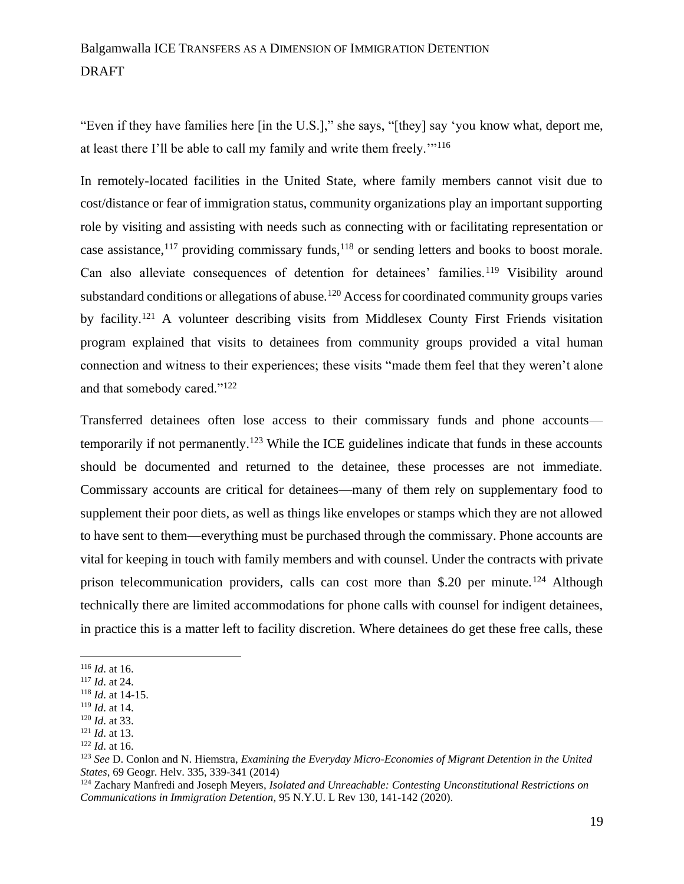"Even if they have families here [in the U.S.]," she says, "[they] say 'you know what, deport me, at least there I'll be able to call my family and write them freely.'"<sup>116</sup>

In remotely-located facilities in the United State, where family members cannot visit due to cost/distance or fear of immigration status, community organizations play an important supporting role by visiting and assisting with needs such as connecting with or facilitating representation or case assistance,<sup>117</sup> providing commissary funds,<sup>118</sup> or sending letters and books to boost morale. Can also alleviate consequences of detention for detainees' families.<sup>119</sup> Visibility around substandard conditions or allegations of abuse.<sup>120</sup> Access for coordinated community groups varies by facility.<sup>121</sup> A volunteer describing visits from Middlesex County First Friends visitation program explained that visits to detainees from community groups provided a vital human connection and witness to their experiences; these visits "made them feel that they weren't alone and that somebody cared."<sup>122</sup>

Transferred detainees often lose access to their commissary funds and phone accounts temporarily if not permanently.<sup>123</sup> While the ICE guidelines indicate that funds in these accounts should be documented and returned to the detainee, these processes are not immediate. Commissary accounts are critical for detainees—many of them rely on supplementary food to supplement their poor diets, as well as things like envelopes or stamps which they are not allowed to have sent to them—everything must be purchased through the commissary. Phone accounts are vital for keeping in touch with family members and with counsel. Under the contracts with private prison telecommunication providers, calls can cost more than \$.20 per minute.<sup>124</sup> Although technically there are limited accommodations for phone calls with counsel for indigent detainees, in practice this is a matter left to facility discretion. Where detainees do get these free calls, these

<sup>116</sup> *Id*. at 16.

<sup>117</sup> *Id*. at 24.

<sup>118</sup> *Id*. at 14-15.

<sup>119</sup> *Id*. at 14. <sup>120</sup> *Id*. at 33.

<sup>121</sup> *Id*. at 13.

<sup>122</sup> *Id*. at 16.

<sup>123</sup> *See* D. Conlon and N. Hiemstra, *Examining the Everyday Micro-Economies of Migrant Detention in the United States*, 69 Geogr. Helv. 335, 339-341 (2014)

<sup>124</sup> Zachary Manfredi and Joseph Meyers, *Isolated and Unreachable: Contesting Unconstitutional Restrictions on Communications in Immigration Detention*, 95 N.Y.U. L Rev 130, 141-142 (2020).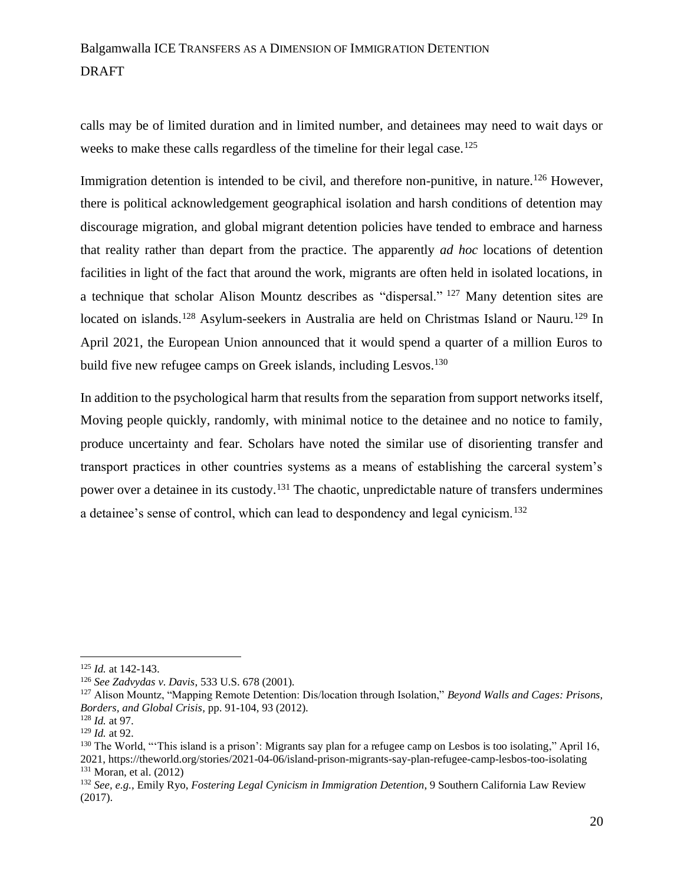calls may be of limited duration and in limited number, and detainees may need to wait days or weeks to make these calls regardless of the timeline for their legal case.<sup>125</sup>

Immigration detention is intended to be civil, and therefore non-punitive, in nature.<sup>126</sup> However, there is political acknowledgement geographical isolation and harsh conditions of detention may discourage migration, and global migrant detention policies have tended to embrace and harness that reality rather than depart from the practice. The apparently *ad hoc* locations of detention facilities in light of the fact that around the work, migrants are often held in isolated locations, in a technique that scholar Alison Mountz describes as "dispersal." <sup>127</sup> Many detention sites are located on islands.<sup>128</sup> Asylum-seekers in Australia are held on Christmas Island or Nauru.<sup>129</sup> In April 2021, the European Union announced that it would spend a quarter of a million Euros to build five new refugee camps on Greek islands, including Lesvos.<sup>130</sup>

In addition to the psychological harm that results from the separation from support networks itself, Moving people quickly, randomly, with minimal notice to the detainee and no notice to family, produce uncertainty and fear. Scholars have noted the similar use of disorienting transfer and transport practices in other countries systems as a means of establishing the carceral system's power over a detainee in its custody.<sup>131</sup> The chaotic, unpredictable nature of transfers undermines a detainee's sense of control, which can lead to despondency and legal cynicism.<sup>132</sup>

<sup>125</sup> *Id.* at 142-143.

<sup>126</sup> *See Zadvydas v. Davis*, 533 U.S. 678 (2001).

<sup>127</sup> Alison Mountz, "Mapping Remote Detention: Dis/location through Isolation," *Beyond Walls and Cages: Prisons, Borders, and Global Crisis*, pp. 91-104, 93 (2012).

<sup>128</sup> *Id.* at 97.

<sup>129</sup> *Id.* at 92.

<sup>&</sup>lt;sup>130</sup> The World, "This island is a prison': Migrants say plan for a refugee camp on Lesbos is too isolating," April 16, 2021, https://theworld.org/stories/2021-04-06/island-prison-migrants-say-plan-refugee-camp-lesbos-too-isolating  $131$  Moran, et al. (2012)

<sup>132</sup> *See, e.g.,* Emily Ryo, *Fostering Legal Cynicism in Immigration Detention*, 9 Southern California Law Review (2017).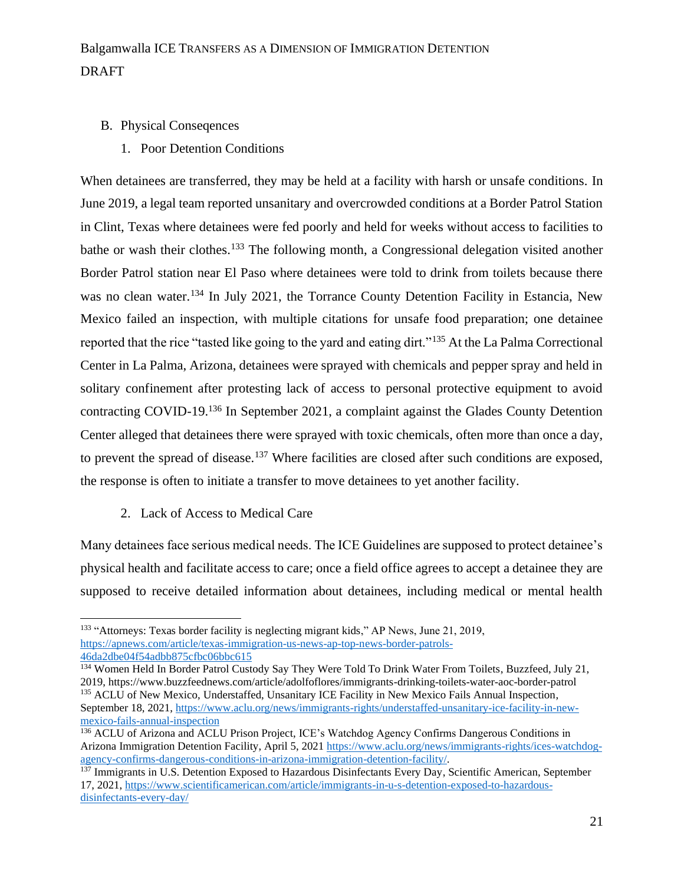- B. Physical Conseqences
	- 1. Poor Detention Conditions

When detainees are transferred, they may be held at a facility with harsh or unsafe conditions. In June 2019, a legal team reported unsanitary and overcrowded conditions at a Border Patrol Station in Clint, Texas where detainees were fed poorly and held for weeks without access to facilities to bathe or wash their clothes.<sup>133</sup> The following month, a Congressional delegation visited another Border Patrol station near El Paso where detainees were told to drink from toilets because there was no clean water.<sup>134</sup> In July 2021, the Torrance County Detention Facility in Estancia, New Mexico failed an inspection, with multiple citations for unsafe food preparation; one detainee reported that the rice "tasted like going to the yard and eating dirt."<sup>135</sup> At the La Palma Correctional Center in La Palma, Arizona, detainees were sprayed with chemicals and pepper spray and held in solitary confinement after protesting lack of access to personal protective equipment to avoid contracting COVID-19.<sup>136</sup> In September 2021, a complaint against the Glades County Detention Center alleged that detainees there were sprayed with toxic chemicals, often more than once a day, to prevent the spread of disease.<sup>137</sup> Where facilities are closed after such conditions are exposed, the response is often to initiate a transfer to move detainees to yet another facility.

2. Lack of Access to Medical Care

Many detainees face serious medical needs. The ICE Guidelines are supposed to protect detainee's physical health and facilitate access to care; once a field office agrees to accept a detainee they are supposed to receive detailed information about detainees, including medical or mental health

<sup>&</sup>lt;sup>133</sup> "Attorneys: Texas border facility is neglecting migrant kids," AP News, June 21, 2019, [https://apnews.com/article/texas-immigration-us-news-ap-top-news-border-patrols-](https://apnews.com/article/texas-immigration-us-news-ap-top-news-border-patrols-46da2dbe04f54adbb875cfbc06bbc615)[46da2dbe04f54adbb875cfbc06bbc615](https://apnews.com/article/texas-immigration-us-news-ap-top-news-border-patrols-46da2dbe04f54adbb875cfbc06bbc615)

<sup>&</sup>lt;sup>134</sup> Women Held In Border Patrol Custody Say They Were Told To Drink Water From Toilets, Buzzfeed, July 21, 2019, https://www.buzzfeednews.com/article/adolfoflores/immigrants-drinking-toilets-water-aoc-border-patrol <sup>135</sup> ACLU of New Mexico, Understaffed, Unsanitary ICE Facility in New Mexico Fails Annual Inspection, September 18, 2021, [https://www.aclu.org/news/immigrants-rights/understaffed-unsanitary-ice-facility-in-new](https://www.aclu.org/news/immigrants-rights/understaffed-unsanitary-ice-facility-in-new-mexico-fails-annual-inspection)[mexico-fails-annual-inspection](https://www.aclu.org/news/immigrants-rights/understaffed-unsanitary-ice-facility-in-new-mexico-fails-annual-inspection)

<sup>136</sup> ACLU of Arizona and ACLU Prison Project, ICE's Watchdog Agency Confirms Dangerous Conditions in Arizona Immigration Detention Facility, April 5, 2021 [https://www.aclu.org/news/immigrants-rights/ices-watchdog](https://www.aclu.org/news/immigrants-rights/ices-watchdog-agency-confirms-dangerous-conditions-in-arizona-immigration-detention-facility/)[agency-confirms-dangerous-conditions-in-arizona-immigration-detention-facility/.](https://www.aclu.org/news/immigrants-rights/ices-watchdog-agency-confirms-dangerous-conditions-in-arizona-immigration-detention-facility/)

<sup>&</sup>lt;sup>137</sup> Immigrants in U.S. Detention Exposed to Hazardous Disinfectants Every Day, Scientific American, September 17, 2021, [https://www.scientificamerican.com/article/immigrants-in-u-s-detention-exposed-to-hazardous](https://www.scientificamerican.com/article/immigrants-in-u-s-detention-exposed-to-hazardous-disinfectants-every-day/)[disinfectants-every-day/](https://www.scientificamerican.com/article/immigrants-in-u-s-detention-exposed-to-hazardous-disinfectants-every-day/)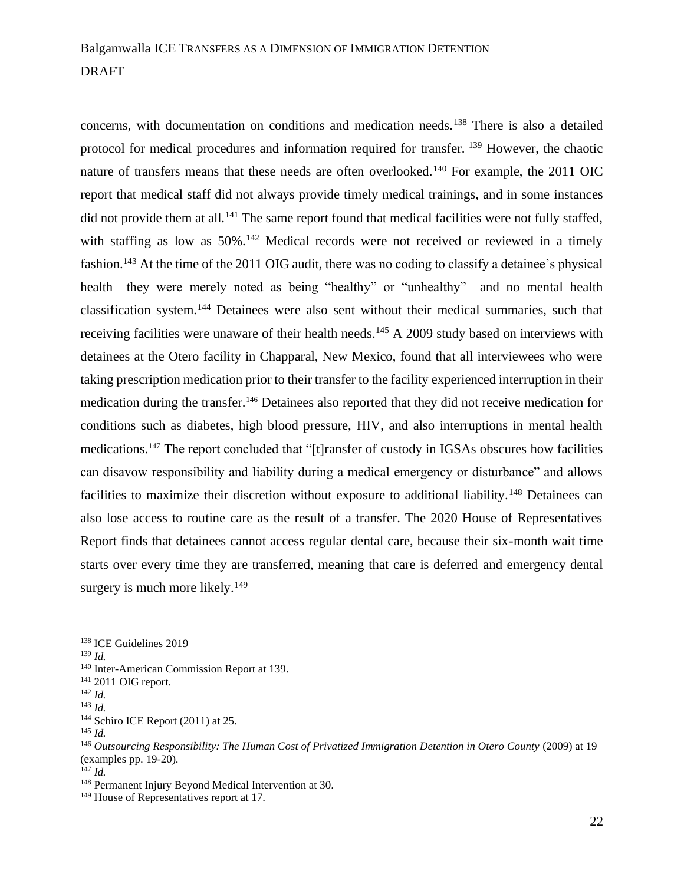concerns, with documentation on conditions and medication needs.<sup>138</sup> There is also a detailed protocol for medical procedures and information required for transfer. <sup>139</sup> However, the chaotic nature of transfers means that these needs are often overlooked.<sup>140</sup> For example, the 2011 OIC report that medical staff did not always provide timely medical trainings, and in some instances did not provide them at all.<sup>141</sup> The same report found that medical facilities were not fully staffed, with staffing as low as 50%.<sup>142</sup> Medical records were not received or reviewed in a timely fashion.<sup>143</sup> At the time of the 2011 OIG audit, there was no coding to classify a detainee's physical health—they were merely noted as being "healthy" or "unhealthy"—and no mental health classification system.<sup>144</sup> Detainees were also sent without their medical summaries, such that receiving facilities were unaware of their health needs.<sup>145</sup> A 2009 study based on interviews with detainees at the Otero facility in Chapparal, New Mexico, found that all interviewees who were taking prescription medication prior to their transfer to the facility experienced interruption in their medication during the transfer.<sup>146</sup> Detainees also reported that they did not receive medication for conditions such as diabetes, high blood pressure, HIV, and also interruptions in mental health medications.<sup>147</sup> The report concluded that "[t]ransfer of custody in IGSAs obscures how facilities can disavow responsibility and liability during a medical emergency or disturbance" and allows facilities to maximize their discretion without exposure to additional liability.<sup>148</sup> Detainees can also lose access to routine care as the result of a transfer. The 2020 House of Representatives Report finds that detainees cannot access regular dental care, because their six-month wait time starts over every time they are transferred, meaning that care is deferred and emergency dental surgery is much more likely.<sup>149</sup>

<sup>138</sup> ICE Guidelines 2019

<sup>139</sup> *Id.*

<sup>140</sup> Inter-American Commission Report at 139.

<sup>141</sup> 2011 OIG report.

<sup>142</sup> *Id.*

<sup>143</sup> *Id.*

<sup>&</sup>lt;sup>144</sup> Schiro ICE Report (2011) at 25.

<sup>145</sup> *Id.*

<sup>&</sup>lt;sup>146</sup> Outsourcing Responsibility: The Human Cost of Privatized Immigration Detention in Otero County (2009) at 19 (examples pp. 19-20).

<sup>147</sup> *Id.*

<sup>148</sup> Permanent Injury Beyond Medical Intervention at 30.

<sup>&</sup>lt;sup>149</sup> House of Representatives report at 17.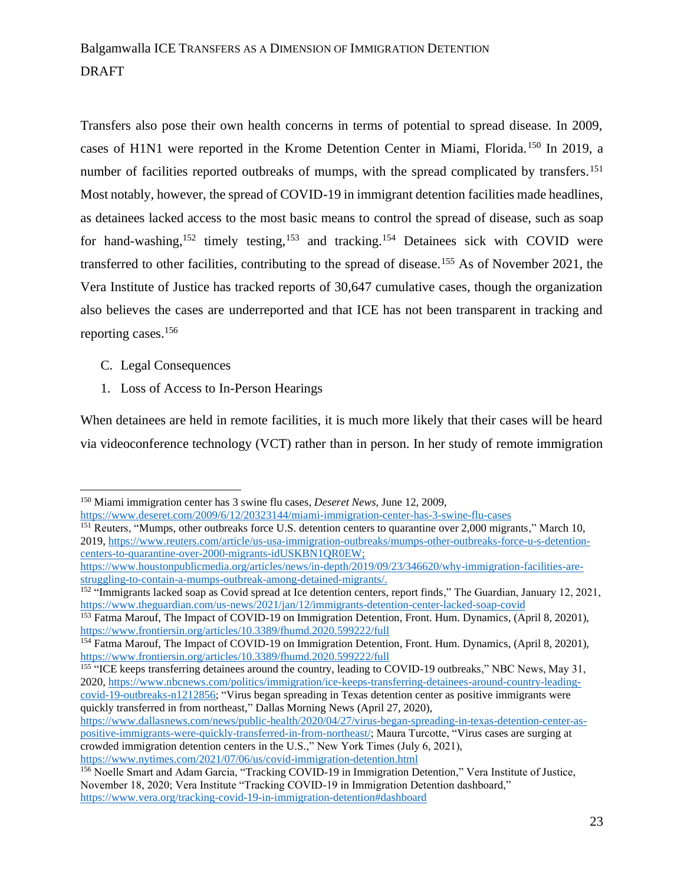Transfers also pose their own health concerns in terms of potential to spread disease. In 2009, cases of H1N1 were reported in the Krome Detention Center in Miami, Florida.<sup>150</sup> In 2019, a number of facilities reported outbreaks of mumps, with the spread complicated by transfers.<sup>151</sup> Most notably, however, the spread of COVID-19 in immigrant detention facilities made headlines, as detainees lacked access to the most basic means to control the spread of disease, such as soap for hand-washing,<sup>152</sup> timely testing,<sup>153</sup> and tracking.<sup>154</sup> Detainees sick with COVID were transferred to other facilities, contributing to the spread of disease.<sup>155</sup> As of November 2021, the Vera Institute of Justice has tracked reports of 30,647 cumulative cases, though the organization also believes the cases are underreported and that ICE has not been transparent in tracking and reporting cases.<sup>156</sup>

- C. Legal Consequences
- 1. Loss of Access to In-Person Hearings

When detainees are held in remote facilities, it is much more likely that their cases will be heard via videoconference technology (VCT) rather than in person. In her study of remote immigration

<https://www.deseret.com/2009/6/12/20323144/miami-immigration-center-has-3-swine-flu-cases>

<sup>151</sup> Reuters, "Mumps, other outbreaks force U.S. detention centers to quarantine over 2,000 migrants," March 10, 2019, [https://www.reuters.com/article/us-usa-immigration-outbreaks/mumps-other-outbreaks-force-u-s-detention](https://www.reuters.com/article/us-usa-immigration-outbreaks/mumps-other-outbreaks-force-u-s-detention-centers-to-quarantine-over-2000-migrants-idUSKBN1QR0EW)[centers-to-quarantine-over-2000-migrants-idUSKBN1QR0EW;](https://www.reuters.com/article/us-usa-immigration-outbreaks/mumps-other-outbreaks-force-u-s-detention-centers-to-quarantine-over-2000-migrants-idUSKBN1QR0EW)

<sup>152</sup> "Immigrants lacked soap as Covid spread at Ice detention centers, report finds," The Guardian, January 12, 2021, <https://www.theguardian.com/us-news/2021/jan/12/immigrants-detention-center-lacked-soap-covid>

<sup>150</sup> Miami immigration center has 3 swine flu cases, *Deseret News*, June 12, 2009,

https://www.houstonpublicmedia.org/articles/news/in-depth/2019/09/23/346620/why-immigration-facilities-arestruggling-to-contain-a-mumps-outbreak-among-detained-migrants/.

<sup>153</sup> Fatma Marouf, The Impact of COVID-19 on Immigration Detention, Front. Hum. Dynamics, (April 8, 20201), <https://www.frontiersin.org/articles/10.3389/fhumd.2020.599222/full>

<sup>154</sup> Fatma Marouf, The Impact of COVID-19 on Immigration Detention, Front. Hum. Dynamics, (April 8, 20201), <https://www.frontiersin.org/articles/10.3389/fhumd.2020.599222/full>

<sup>&</sup>lt;sup>155</sup> "ICE keeps transferring detainees around the country, leading to COVID-19 outbreaks," NBC News, May 31, 2020, [https://www.nbcnews.com/politics/immigration/ice-keeps-transferring-detainees-around-country-leading](https://www.nbcnews.com/politics/immigration/ice-keeps-transferring-detainees-around-country-leading-covid-19-outbreaks-n1212856)[covid-19-outbreaks-n1212856;](https://www.nbcnews.com/politics/immigration/ice-keeps-transferring-detainees-around-country-leading-covid-19-outbreaks-n1212856) "Virus began spreading in Texas detention center as positive immigrants were quickly transferred in from northeast," Dallas Morning News (April 27, 2020)*,* 

[https://www.dallasnews.com/news/public-health/2020/04/27/virus-began-spreading-in-texas-detention-center-as](https://www.dallasnews.com/news/public-health/2020/04/27/virus-began-spreading-in-texas-detention-center-as-positive-immigrants-were-quickly-transferred-in-from-northeast/)[positive-immigrants-were-quickly-transferred-in-from-northeast/;](https://www.dallasnews.com/news/public-health/2020/04/27/virus-began-spreading-in-texas-detention-center-as-positive-immigrants-were-quickly-transferred-in-from-northeast/) Maura Turcotte, "Virus cases are surging at crowded immigration detention centers in the U.S.," New York Times (July 6, 2021), <https://www.nytimes.com/2021/07/06/us/covid-immigration-detention.html>

<sup>156</sup> Noelle Smart and Adam Garcia, "Tracking COVID-19 in Immigration Detention," Vera Institute of Justice, November 18, 2020; Vera Institute "Tracking COVID-19 in Immigration Detention dashboard," <https://www.vera.org/tracking-covid-19-in-immigration-detention#dashboard>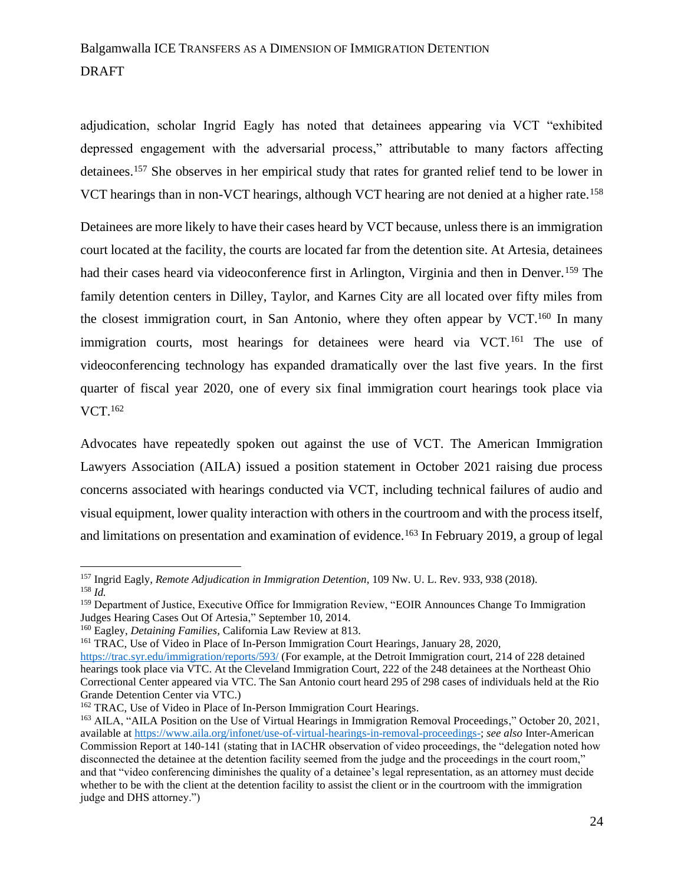adjudication, scholar Ingrid Eagly has noted that detainees appearing via VCT "exhibited depressed engagement with the adversarial process," attributable to many factors affecting detainees.<sup>157</sup> She observes in her empirical study that rates for granted relief tend to be lower in VCT hearings than in non-VCT hearings, although VCT hearing are not denied at a higher rate.<sup>158</sup>

Detainees are more likely to have their cases heard by VCT because, unless there is an immigration court located at the facility, the courts are located far from the detention site. At Artesia, detainees had their cases heard via videoconference first in Arlington, Virginia and then in Denver.<sup>159</sup> The family detention centers in Dilley, Taylor, and Karnes City are all located over fifty miles from the closest immigration court, in San Antonio, where they often appear by VCT. $160$  In many immigration courts, most hearings for detainees were heard via VCT.<sup>161</sup> The use of videoconferencing technology has expanded dramatically over the last five years. In the first quarter of fiscal year 2020, one of every six final immigration court hearings took place via VCT.<sup>162</sup>

Advocates have repeatedly spoken out against the use of VCT. The American Immigration Lawyers Association (AILA) issued a position statement in October 2021 raising due process concerns associated with hearings conducted via VCT, including technical failures of audio and visual equipment, lower quality interaction with others in the courtroom and with the process itself, and limitations on presentation and examination of evidence.<sup>163</sup> In February 2019, a group of legal

<sup>157</sup> Ingrid Eagly, *Remote Adjudication in Immigration Detention*, 109 Nw. U. L. Rev. 933, 938 (2018). <sup>158</sup> *Id.*

<sup>159</sup> Department of Justice, Executive Office for Immigration Review, "EOIR Announces Change To Immigration Judges Hearing Cases Out Of Artesia," September 10, 2014.

<sup>160</sup> Eagley, *Detaining Families,* California Law Review at 813.

<sup>161</sup> TRAC, Use of Video in Place of In-Person Immigration Court Hearings, January 28, 2020,

<https://trac.syr.edu/immigration/reports/593/> (For example, at the Detroit Immigration court, 214 of 228 detained hearings took place via VTC. At the Cleveland Immigration Court, 222 of the 248 detainees at the Northeast Ohio Correctional Center appeared via VTC. The San Antonio court heard 295 of 298 cases of individuals held at the Rio Grande Detention Center via VTC.)

<sup>162</sup> TRAC, Use of Video in Place of In-Person Immigration Court Hearings.

<sup>163</sup> AILA, "AILA Position on the Use of Virtual Hearings in Immigration Removal Proceedings," October 20, 2021, available a[t https://www.aila.org/infonet/use-of-virtual-hearings-in-removal-proceedings-;](https://www.aila.org/infonet/use-of-virtual-hearings-in-removal-proceedings-) *see also* Inter-American Commission Report at 140-141 (stating that in IACHR observation of video proceedings, the "delegation noted how disconnected the detainee at the detention facility seemed from the judge and the proceedings in the court room," and that "video conferencing diminishes the quality of a detainee's legal representation, as an attorney must decide whether to be with the client at the detention facility to assist the client or in the courtroom with the immigration judge and DHS attorney.")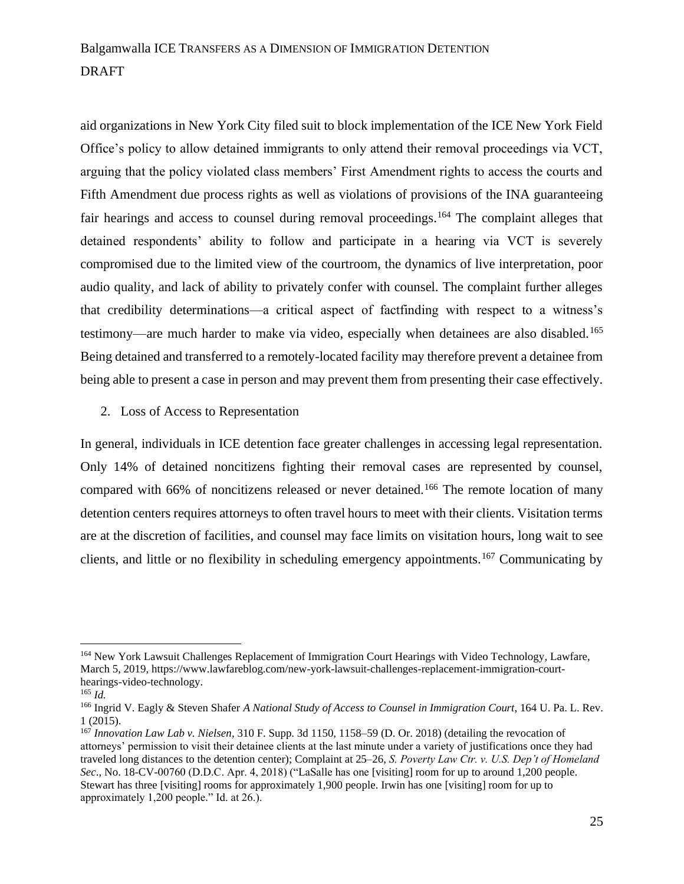aid organizations in New York City filed suit to block implementation of the ICE New York Field Office's policy to allow detained immigrants to only attend their removal proceedings via VCT, arguing that the policy violated class members' First Amendment rights to access the courts and Fifth Amendment due process rights as well as violations of provisions of the INA guaranteeing fair hearings and access to counsel during removal proceedings.<sup>164</sup> The complaint alleges that detained respondents' ability to follow and participate in a hearing via VCT is severely compromised due to the limited view of the courtroom, the dynamics of live interpretation, poor audio quality, and lack of ability to privately confer with counsel. The complaint further alleges that credibility determinations—a critical aspect of factfinding with respect to a witness's testimony—are much harder to make via video, especially when detainees are also disabled.<sup>165</sup> Being detained and transferred to a remotely-located facility may therefore prevent a detainee from being able to present a case in person and may prevent them from presenting their case effectively.

2. Loss of Access to Representation

In general, individuals in ICE detention face greater challenges in accessing legal representation. Only 14% of detained noncitizens fighting their removal cases are represented by counsel, compared with 66% of noncitizens released or never detained.<sup>166</sup> The remote location of many detention centers requires attorneys to often travel hours to meet with their clients. Visitation terms are at the discretion of facilities, and counsel may face limits on visitation hours, long wait to see clients, and little or no flexibility in scheduling emergency appointments.<sup>167</sup> Communicating by

<sup>164</sup> New York Lawsuit Challenges Replacement of Immigration Court Hearings with Video Technology, Lawfare, March 5, 2019, https://www.lawfareblog.com/new-york-lawsuit-challenges-replacement-immigration-courthearings-video-technology.

<sup>165</sup> *Id.*

<sup>166</sup> Ingrid V. Eagly & Steven Shafer *A National Study of Access to Counsel in Immigration Court*, 164 U. Pa. L. Rev. 1 (2015).

<sup>167</sup> *Innovation Law Lab v. Nielsen*, 310 F. Supp. 3d 1150, 1158–59 (D. Or. 2018) (detailing the revocation of attorneys' permission to visit their detainee clients at the last minute under a variety of justifications once they had traveled long distances to the detention center); Complaint at 25–26, *S. Poverty Law Ctr. v. U.S. Dep't of Homeland Sec*., No. 18-CV-00760 (D.D.C. Apr. 4, 2018) ("LaSalle has one [visiting] room for up to around 1,200 people. Stewart has three [visiting] rooms for approximately 1,900 people. Irwin has one [visiting] room for up to approximately 1,200 people." Id. at 26.).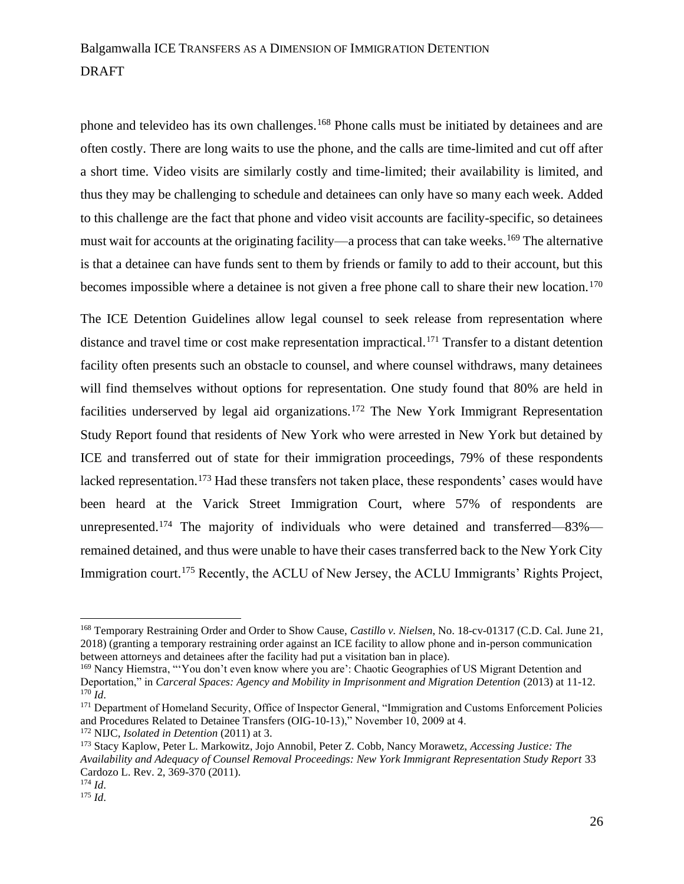phone and televideo has its own challenges.<sup>168</sup> Phone calls must be initiated by detainees and are often costly. There are long waits to use the phone, and the calls are time-limited and cut off after a short time. Video visits are similarly costly and time-limited; their availability is limited, and thus they may be challenging to schedule and detainees can only have so many each week. Added to this challenge are the fact that phone and video visit accounts are facility-specific, so detainees must wait for accounts at the originating facility—a process that can take weeks.<sup>169</sup> The alternative is that a detainee can have funds sent to them by friends or family to add to their account, but this becomes impossible where a detainee is not given a free phone call to share their new location.<sup>170</sup>

The ICE Detention Guidelines allow legal counsel to seek release from representation where distance and travel time or cost make representation impractical.<sup>171</sup> Transfer to a distant detention facility often presents such an obstacle to counsel, and where counsel withdraws, many detainees will find themselves without options for representation. One study found that 80% are held in facilities underserved by legal aid organizations.<sup>172</sup> The New York Immigrant Representation Study Report found that residents of New York who were arrested in New York but detained by ICE and transferred out of state for their immigration proceedings, 79% of these respondents lacked representation.<sup>173</sup> Had these transfers not taken place, these respondents' cases would have been heard at the Varick Street Immigration Court, where 57% of respondents are unrepresented.<sup>174</sup> The majority of individuals who were detained and transferred—83% remained detained, and thus were unable to have their cases transferred back to the New York City Immigration court.<sup>175</sup> Recently, the ACLU of New Jersey, the ACLU Immigrants' Rights Project,

<sup>168</sup> Temporary Restraining Order and Order to Show Cause, *Castillo v. Nielsen*, No. 18-cv-01317 (C.D. Cal. June 21, 2018) (granting a temporary restraining order against an ICE facility to allow phone and in-person communication between attorneys and detainees after the facility had put a visitation ban in place).

<sup>169</sup> Nancy Hiemstra, "'You don't even know where you are': Chaotic Geographies of US Migrant Detention and Deportation," in *Carceral Spaces: Agency and Mobility in Imprisonment and Migration Detention* (2013) at 11-12.  $170$  *Id.* 

<sup>&</sup>lt;sup>171</sup> Department of Homeland Security, Office of Inspector General, "Immigration and Customs Enforcement Policies and Procedures Related to Detainee Transfers (OIG-10-13)," November 10, 2009 at 4.

<sup>172</sup> NIJC, *Isolated in Detention* (2011) at 3.

<sup>173</sup> Stacy Kaplow, Peter L. Markowitz, Jojo Annobil, Peter Z. Cobb, Nancy Morawetz, *Accessing Justice: The Availability and Adequacy of Counsel Removal Proceedings: New York Immigrant Representation Study Report* 33 Cardozo L. Rev. 2, 369-370 (2011).

<sup>174</sup> *Id*.

<sup>175</sup> *Id*.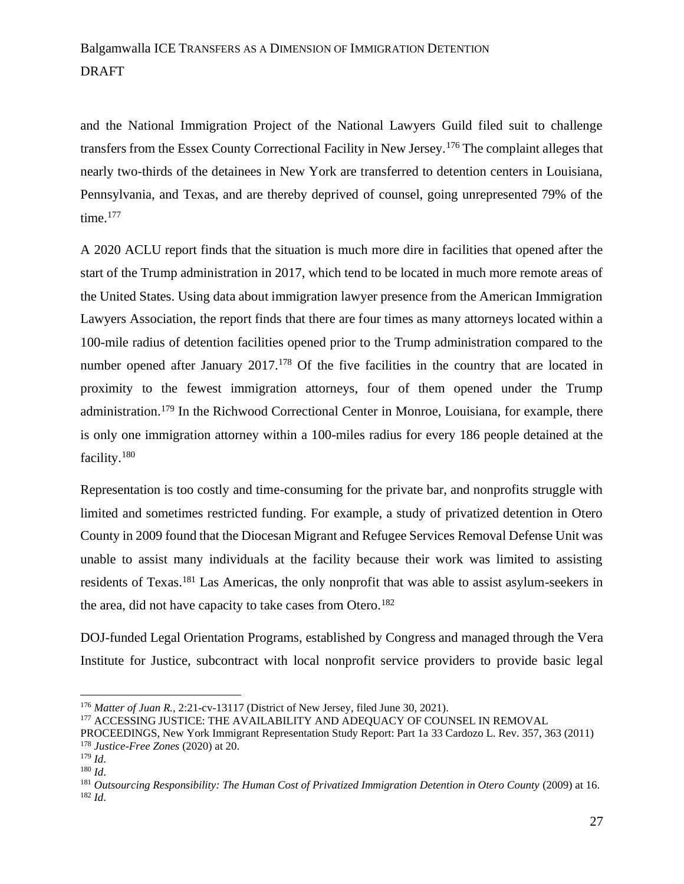and the National Immigration Project of the National Lawyers Guild filed suit to challenge transfers from the Essex County Correctional Facility in New Jersey.<sup>176</sup> The complaint alleges that nearly two-thirds of the detainees in New York are transferred to detention centers in Louisiana, Pennsylvania, and Texas, and are thereby deprived of counsel, going unrepresented 79% of the time. $177$ 

A 2020 ACLU report finds that the situation is much more dire in facilities that opened after the start of the Trump administration in 2017, which tend to be located in much more remote areas of the United States. Using data about immigration lawyer presence from the American Immigration Lawyers Association, the report finds that there are four times as many attorneys located within a 100-mile radius of detention facilities opened prior to the Trump administration compared to the number opened after January 2017.<sup>178</sup> Of the five facilities in the country that are located in proximity to the fewest immigration attorneys, four of them opened under the Trump administration.<sup>179</sup> In the Richwood Correctional Center in Monroe, Louisiana, for example, there is only one immigration attorney within a 100-miles radius for every 186 people detained at the facility.<sup>180</sup>

Representation is too costly and time-consuming for the private bar, and nonprofits struggle with limited and sometimes restricted funding. For example, a study of privatized detention in Otero County in 2009 found that the Diocesan Migrant and Refugee Services Removal Defense Unit was unable to assist many individuals at the facility because their work was limited to assisting residents of Texas.<sup>181</sup> Las Americas, the only nonprofit that was able to assist asylum-seekers in the area, did not have capacity to take cases from Otero.<sup>182</sup>

DOJ-funded Legal Orientation Programs, established by Congress and managed through the Vera Institute for Justice, subcontract with local nonprofit service providers to provide basic legal

<sup>176</sup> *Matter of Juan R.*, 2:21-cv-13117 (District of New Jersey, filed June 30, 2021).

<sup>&</sup>lt;sup>177</sup> ACCESSING JUSTICE: THE AVAILABILITY AND ADEQUACY OF COUNSEL IN REMOVAL

PROCEEDINGS, New York Immigrant Representation Study Report: Part 1a 33 Cardozo L. Rev. 357, 363 (2011) <sup>178</sup> *Justice-Free Zones* (2020) at 20.

<sup>179</sup> *Id*.

<sup>180</sup> *Id*.

<sup>&</sup>lt;sup>181</sup> Outsourcing Responsibility: The Human Cost of Privatized Immigration Detention in Otero County (2009) at 16.  $182$  *Id.*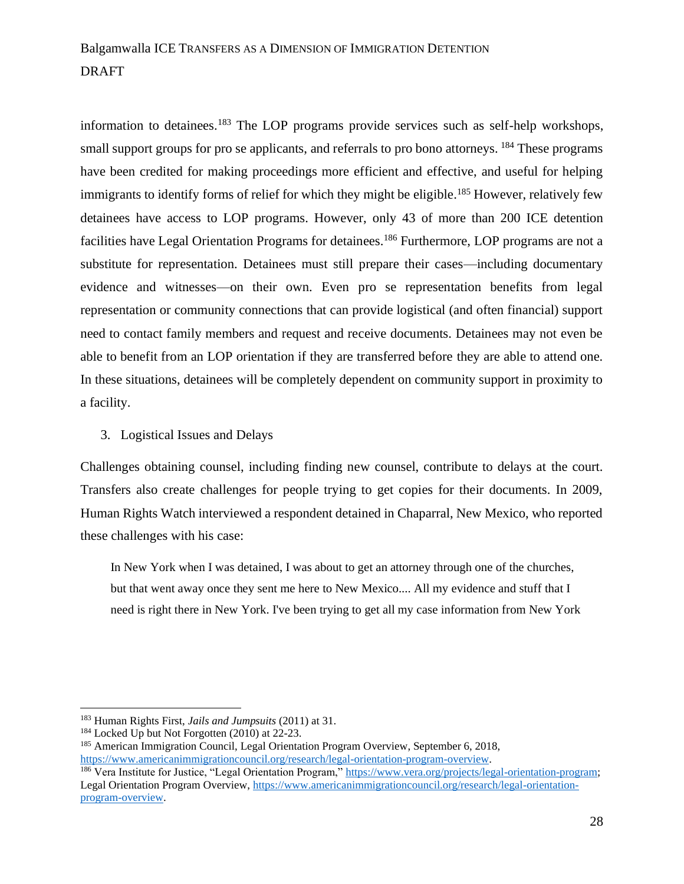information to detainees.<sup>183</sup> The LOP programs provide services such as self-help workshops, small support groups for pro se applicants, and referrals to pro bono attorneys. <sup>184</sup> These programs have been credited for making proceedings more efficient and effective, and useful for helping immigrants to identify forms of relief for which they might be eligible.<sup>185</sup> However, relatively few detainees have access to LOP programs. However, only 43 of more than 200 ICE detention facilities have Legal Orientation Programs for detainees.<sup>186</sup> Furthermore, LOP programs are not a substitute for representation. Detainees must still prepare their cases—including documentary evidence and witnesses—on their own. Even pro se representation benefits from legal representation or community connections that can provide logistical (and often financial) support need to contact family members and request and receive documents. Detainees may not even be able to benefit from an LOP orientation if they are transferred before they are able to attend one. In these situations, detainees will be completely dependent on community support in proximity to a facility.

#### 3. Logistical Issues and Delays

Challenges obtaining counsel, including finding new counsel, contribute to delays at the court. Transfers also create challenges for people trying to get copies for their documents. In 2009, Human Rights Watch interviewed a respondent detained in Chaparral, New Mexico, who reported these challenges with his case:

In New York when I was detained, I was about to get an attorney through one of the churches, but that went away once they sent me here to New Mexico.... All my evidence and stuff that I need is right there in New York. I've been trying to get all my case information from New York

<sup>183</sup> Human Rights First, *Jails and Jumpsuits* (2011) at 31.

<sup>&</sup>lt;sup>184</sup> Locked Up but Not Forgotten (2010) at 22-23.

<sup>185</sup> American Immigration Council, Legal Orientation Program Overview, September 6, 2018, [https://www.americanimmigrationcouncil.org/research/legal-orientation-program-overview.](https://www.americanimmigrationcouncil.org/research/legal-orientation-program-overview)

<sup>&</sup>lt;sup>186</sup> Vera Institute for Justice, "Legal Orientation Program," [https://www.vera.org/projects/legal-orientation-program;](https://www.vera.org/projects/legal-orientation-program) Legal Orientation Program Overview, [https://www.americanimmigrationcouncil.org/research/legal-orientation](https://www.americanimmigrationcouncil.org/research/legal-orientation-program-overview)[program-overview.](https://www.americanimmigrationcouncil.org/research/legal-orientation-program-overview)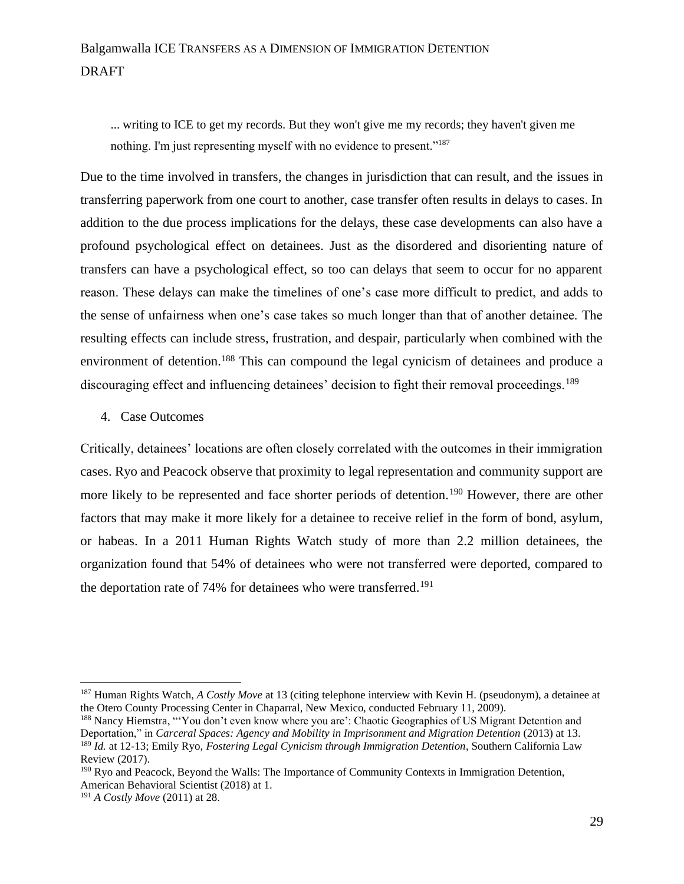... writing to ICE to get my records. But they won't give me my records; they haven't given me nothing. I'm just representing myself with no evidence to present."<sup>187</sup>

Due to the time involved in transfers, the changes in jurisdiction that can result, and the issues in transferring paperwork from one court to another, case transfer often results in delays to cases. In addition to the due process implications for the delays, these case developments can also have a profound psychological effect on detainees. Just as the disordered and disorienting nature of transfers can have a psychological effect, so too can delays that seem to occur for no apparent reason. These delays can make the timelines of one's case more difficult to predict, and adds to the sense of unfairness when one's case takes so much longer than that of another detainee. The resulting effects can include stress, frustration, and despair, particularly when combined with the environment of detention.<sup>188</sup> This can compound the legal cynicism of detainees and produce a discouraging effect and influencing detainees' decision to fight their removal proceedings.<sup>189</sup>

#### 4. Case Outcomes

Critically, detainees' locations are often closely correlated with the outcomes in their immigration cases. Ryo and Peacock observe that proximity to legal representation and community support are more likely to be represented and face shorter periods of detention.<sup>190</sup> However, there are other factors that may make it more likely for a detainee to receive relief in the form of bond, asylum, or habeas. In a 2011 Human Rights Watch study of more than 2.2 million detainees, the organization found that 54% of detainees who were not transferred were deported, compared to the deportation rate of 74% for detainees who were transferred.<sup>191</sup>

<sup>187</sup> Human Rights Watch, *A Costly Move* at 13 (citing telephone interview with Kevin H. (pseudonym), a detainee at the Otero County Processing Center in Chaparral, New Mexico, conducted February 11, 2009).

<sup>&</sup>lt;sup>188</sup> Nancy Hiemstra, "'You don't even know where you are': Chaotic Geographies of US Migrant Detention and Deportation," in *Carceral Spaces: Agency and Mobility in Imprisonment and Migration Detention* (2013) at 13. <sup>189</sup> *Id.* at 12-13; Emily Ryo, *Fostering Legal Cynicism through Immigration Detention*, Southern California Law Review (2017).

<sup>190</sup> Ryo and Peacock, Beyond the Walls: The Importance of Community Contexts in Immigration Detention, American Behavioral Scientist (2018) at 1.

<sup>191</sup> *A Costly Move* (2011) at 28.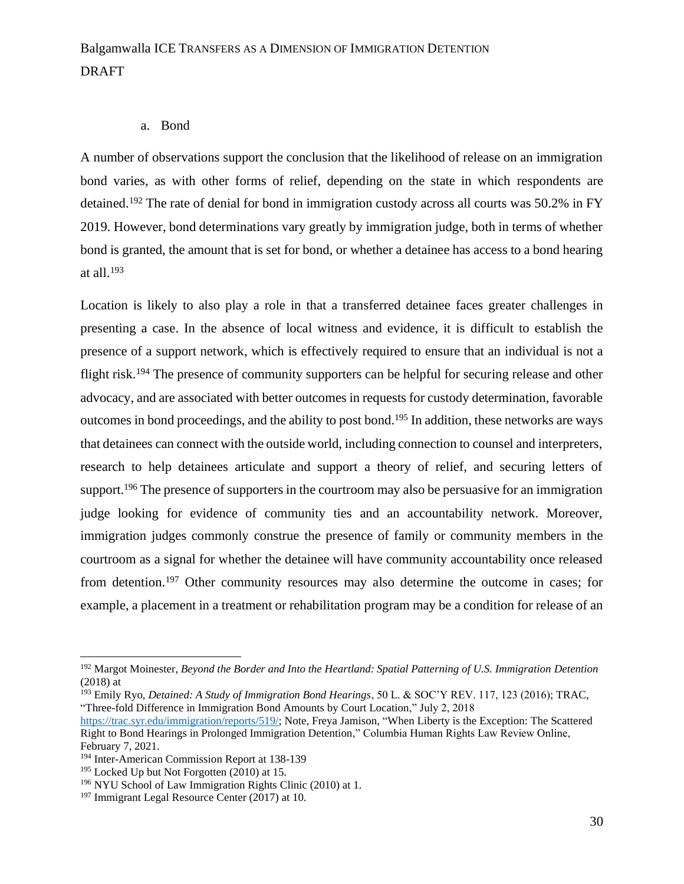#### a. Bond

A number of observations support the conclusion that the likelihood of release on an immigration bond varies, as with other forms of relief, depending on the state in which respondents are detained.<sup>192</sup> The rate of denial for bond in immigration custody across all courts was 50.2% in FY 2019. However, bond determinations vary greatly by immigration judge, both in terms of whether bond is granted, the amount that is set for bond, or whether a detainee has access to a bond hearing at all. 193

Location is likely to also play a role in that a transferred detainee faces greater challenges in presenting a case. In the absence of local witness and evidence, it is difficult to establish the presence of a support network, which is effectively required to ensure that an individual is not a flight risk.<sup>194</sup> The presence of community supporters can be helpful for securing release and other advocacy, and are associated with better outcomes in requests for custody determination, favorable outcomes in bond proceedings, and the ability to post bond. <sup>195</sup> In addition, these networks are ways that detainees can connect with the outside world, including connection to counsel and interpreters, research to help detainees articulate and support a theory of relief, and securing letters of support.<sup>196</sup> The presence of supporters in the courtroom may also be persuasive for an immigration judge looking for evidence of community ties and an accountability network. Moreover, immigration judges commonly construe the presence of family or community members in the courtroom as a signal for whether the detainee will have community accountability once released from detention.<sup>197</sup> Other community resources may also determine the outcome in cases; for example, a placement in a treatment or rehabilitation program may be a condition for release of an

<sup>193</sup> Emily Ryo, *[Detained: A Study of Immigration Bond Hearings](http://www.westlaw.com/Link/Document/FullText?findType=Y&serNum=0458000997&pubNum=0100947&originatingDoc=I5ea50011601d11e9adfea82903531a62&refType=LR&fi=co_pp_sp_100947_123&originationContext=document&vr=3.0&rs=cblt1.0&transitionType=DocumentItem&contextData=(sc.Search)#co_pp_sp_100947_123)*, 50 L. & SOC'Y REV. 117, 123 (2016); TRAC, "Three-fold Difference in Immigration Bond Amounts by Court Location," July 2, 2018

<sup>192</sup> Margot Moinester, *Beyond the Border and Into the Heartland: Spatial Patterning of U.S. Immigration Detention* (2018) at

[https://trac.syr.edu/immigration/reports/519/;](https://trac.syr.edu/immigration/reports/519/) Note, Freya Jamison, "When Liberty is the Exception: The Scattered Right to Bond Hearings in Prolonged Immigration Detention," Columbia Human Rights Law Review Online, February 7, 2021.

<sup>194</sup> Inter-American Commission Report at 138-139

<sup>&</sup>lt;sup>195</sup> Locked Up but Not Forgotten (2010) at 15.

<sup>196</sup> NYU School of Law Immigration Rights Clinic (2010) at 1.

<sup>&</sup>lt;sup>197</sup> Immigrant Legal Resource Center (2017) at 10.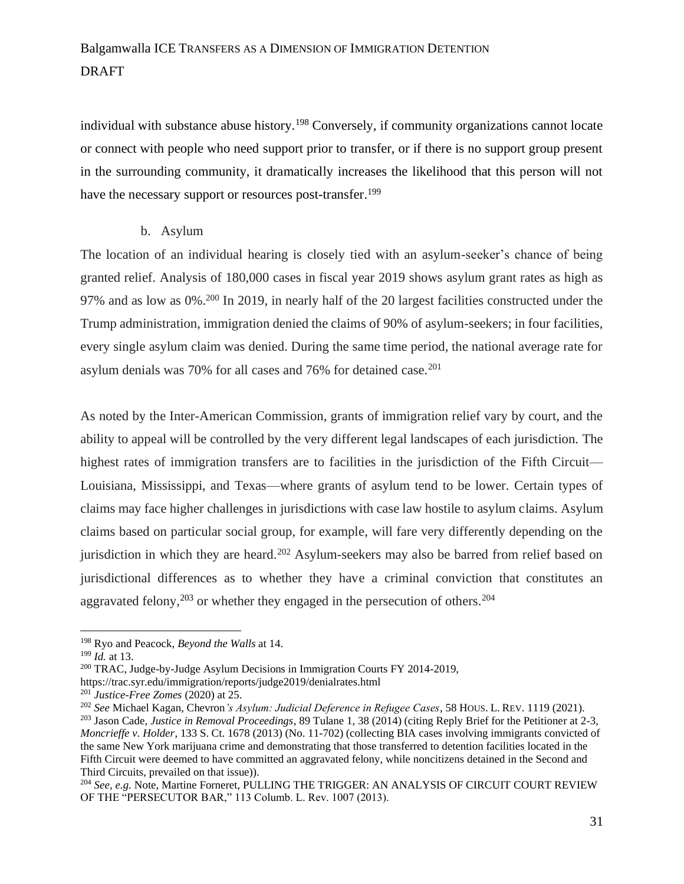individual with substance abuse history.<sup>198</sup> Conversely, if community organizations cannot locate or connect with people who need support prior to transfer, or if there is no support group present in the surrounding community, it dramatically increases the likelihood that this person will not have the necessary support or resources post-transfer.<sup>199</sup>

#### b. Asylum

The location of an individual hearing is closely tied with an asylum-seeker's chance of being granted relief. Analysis of 180,000 cases in fiscal year 2019 shows asylum grant rates as high as 97% and as low as 0%.<sup>200</sup> In 2019, in nearly half of the 20 largest facilities constructed under the Trump administration, immigration denied the claims of 90% of asylum-seekers; in four facilities, every single asylum claim was denied. During the same time period, the national average rate for asylum denials was 70% for all cases and 76% for detained case. $201$ 

As noted by the Inter-American Commission, grants of immigration relief vary by court, and the ability to appeal will be controlled by the very different legal landscapes of each jurisdiction. The highest rates of immigration transfers are to facilities in the jurisdiction of the Fifth Circuit— Louisiana, Mississippi, and Texas—where grants of asylum tend to be lower. Certain types of claims may face higher challenges in jurisdictions with case law hostile to asylum claims. Asylum claims based on particular social group, for example, will fare very differently depending on the jurisdiction in which they are heard.<sup>202</sup> Asylum-seekers may also be barred from relief based on jurisdictional differences as to whether they have a criminal conviction that constitutes an aggravated felony,<sup>203</sup> or whether they engaged in the persecution of others.<sup>204</sup>

<sup>198</sup> Ryo and Peacock, *Beyond the Walls* at 14.

<sup>199</sup> *Id.* at 13.

<sup>200</sup> TRAC, Judge-by-Judge Asylum Decisions in Immigration Courts FY 2014-2019,

https://trac.syr.edu/immigration/reports/judge2019/denialrates.html

<sup>201</sup> *Justice-Free Zomes* (2020) at 25.

<sup>202</sup> *See* Michael Kagan, Chevron*'s Asylum: Judicial Deference in Refugee Cases*, 58 HOUS. L. REV. 1119 (2021). <sup>203</sup> Jason Cade, *Justice in Removal Proceedings*, 89 Tulane 1, 38 (2014) (citing Reply Brief for the Petitioner at 2-3, *Moncrieffe v. Holder*, 133 S. Ct. 1678 (2013) (No. 11-702) (collecting BIA cases involving immigrants convicted of

the same New York marijuana crime and demonstrating that those transferred to detention facilities located in the Fifth Circuit were deemed to have committed an aggravated felony, while noncitizens detained in the Second and Third Circuits, prevailed on that issue)).

<sup>204</sup> *See, e.g.* Note, Martine Forneret, PULLING THE TRIGGER: AN ANALYSIS OF CIRCUIT COURT REVIEW OF THE "PERSECUTOR BAR," 113 Columb. L. Rev. 1007 (2013).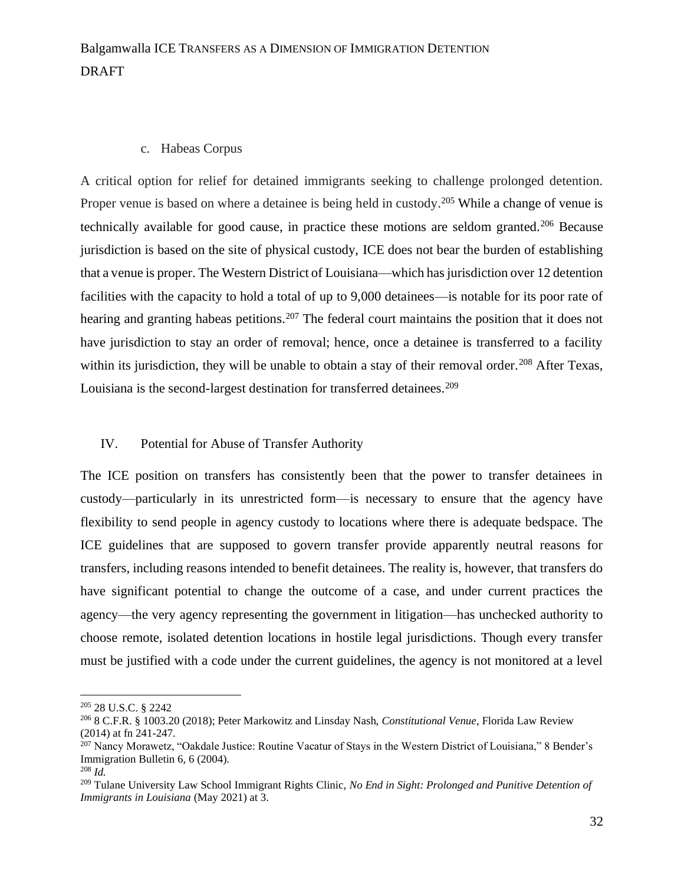#### c. Habeas Corpus

A critical option for relief for detained immigrants seeking to challenge prolonged detention. Proper venue is based on where a detainee is being held in custody.<sup>205</sup> While a change of venue is technically available for good cause, in practice these motions are seldom granted.<sup>206</sup> Because jurisdiction is based on the site of physical custody, ICE does not bear the burden of establishing that a venue is proper. The Western District of Louisiana—which has jurisdiction over 12 detention facilities with the capacity to hold a total of up to 9,000 detainees—is notable for its poor rate of hearing and granting habeas petitions.<sup>207</sup> The federal court maintains the position that it does not have jurisdiction to stay an order of removal; hence, once a detainee is transferred to a facility within its jurisdiction, they will be unable to obtain a stay of their removal order.<sup>208</sup> After Texas, Louisiana is the second-largest destination for transferred detainees.<sup>209</sup>

#### IV. Potential for Abuse of Transfer Authority

The ICE position on transfers has consistently been that the power to transfer detainees in custody—particularly in its unrestricted form—is necessary to ensure that the agency have flexibility to send people in agency custody to locations where there is adequate bedspace. The ICE guidelines that are supposed to govern transfer provide apparently neutral reasons for transfers, including reasons intended to benefit detainees. The reality is, however, that transfers do have significant potential to change the outcome of a case, and under current practices the agency—the very agency representing the government in litigation—has unchecked authority to choose remote, isolated detention locations in hostile legal jurisdictions. Though every transfer must be justified with a code under the current guidelines, the agency is not monitored at a level

<sup>205</sup> [28 U.S.C. § 2242](http://www.westlaw.com/Link/Document/FullText?findType=L&pubNum=1000546&cite=28USCAS2242&originatingDoc=Ia750b579707c11e9adfea82903531a62&refType=LQ&originationContext=document&vr=3.0&rs=cblt1.0&transitionType=DocumentItem&contextData=(sc.Search))

<sup>206</sup> [8 C.F.R. § 1003.20 \(2018\);](http://www.westlaw.com/Link/Document/FullText?findType=L&pubNum=1000547&cite=8CFRS1003.20&originatingDoc=Ia750b579707c11e9adfea82903531a62&refType=LQ&originationContext=document&vr=3.0&rs=cblt1.0&transitionType=DocumentItem&contextData=(sc.Search)) Peter Markowitz and Linsday Nash, *Constitutional Venue*, Florida Law Review (2014) at fn 241-247.

<sup>&</sup>lt;sup>207</sup> Nancy Morawetz, "Oakdale Justice: Routine Vacatur of Stays in the Western District of Louisiana," 8 Bender's Immigration Bulletin 6, 6 (2004).

<sup>208</sup> *Id.*

<sup>209</sup> Tulane University Law School Immigrant Rights Clinic, *No End in Sight: Prolonged and Punitive Detention of Immigrants in Louisiana* (May 2021) at 3.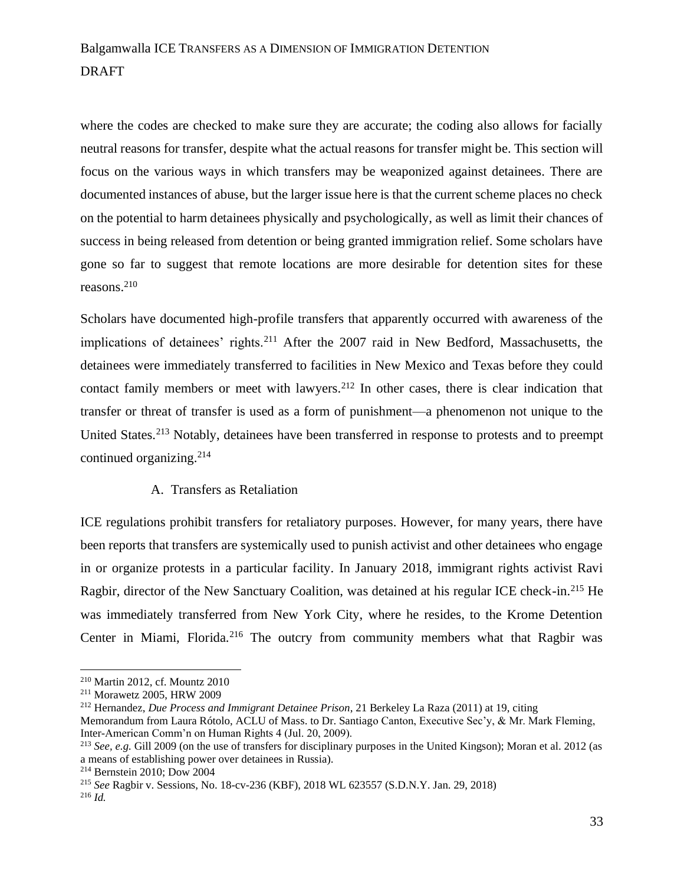where the codes are checked to make sure they are accurate; the coding also allows for facially neutral reasons for transfer, despite what the actual reasons for transfer might be. This section will focus on the various ways in which transfers may be weaponized against detainees. There are documented instances of abuse, but the larger issue here is that the current scheme places no check on the potential to harm detainees physically and psychologically, as well as limit their chances of success in being released from detention or being granted immigration relief. Some scholars have gone so far to suggest that remote locations are more desirable for detention sites for these reasons.<sup>210</sup>

Scholars have documented high-profile transfers that apparently occurred with awareness of the implications of detainees' rights.<sup>211</sup> After the 2007 raid in New Bedford, Massachusetts, the detainees were immediately transferred to facilities in New Mexico and Texas before they could contact family members or meet with lawyers.<sup>212</sup> In other cases, there is clear indication that transfer or threat of transfer is used as a form of punishment—a phenomenon not unique to the United States.<sup>213</sup> Notably, detainees have been transferred in response to protests and to preempt continued organizing.<sup>214</sup>

#### A. Transfers as Retaliation

ICE regulations prohibit transfers for retaliatory purposes. However, for many years, there have been reports that transfers are systemically used to punish activist and other detainees who engage in or organize protests in a particular facility. In January 2018, immigrant rights activist Ravi Ragbir, director of the New Sanctuary Coalition, was detained at his regular ICE check-in.<sup>215</sup> He was immediately transferred from New York City, where he resides, to the Krome Detention Center in Miami, Florida.<sup>216</sup> The outcry from community members what that Ragbir was

Memorandum from Laura Rótolo, ACLU of Mass. to Dr. Santiago Canton, Executive Sec'y, & Mr. Mark Fleming, Inter-American Comm'n on Human Rights 4 (Jul. 20, 2009).

<sup>210</sup> Martin 2012, cf. Mountz 2010

<sup>211</sup> Morawetz 2005, HRW 2009

<sup>212</sup> Hernandez, *Due Process and Immigrant Detainee Prison*, 21 Berkeley La Raza (2011) at 19, citing

<sup>213</sup> *See, e.g.* Gill 2009 (on the use of transfers for disciplinary purposes in the United Kingson); Moran et al. 2012 (as a means of establishing power over detainees in Russia).

<sup>214</sup> Bernstein 2010; Dow 2004

<sup>215</sup> *See* [Ragbir v. Sessions, No. 18-cv-236 \(KBF\), 2018 WL 623557 \(S.D.N.Y. Jan. 29, 2018\)](http://www.westlaw.com/Link/Document/FullText?findType=Y&serNum=2043707530&pubNum=0000999&originatingDoc=Ia750b579707c11e9adfea82903531a62&refType=RP&originationContext=document&vr=3.0&rs=cblt1.0&transitionType=DocumentItem&contextData=(sc.Search))

<sup>216</sup> *Id.*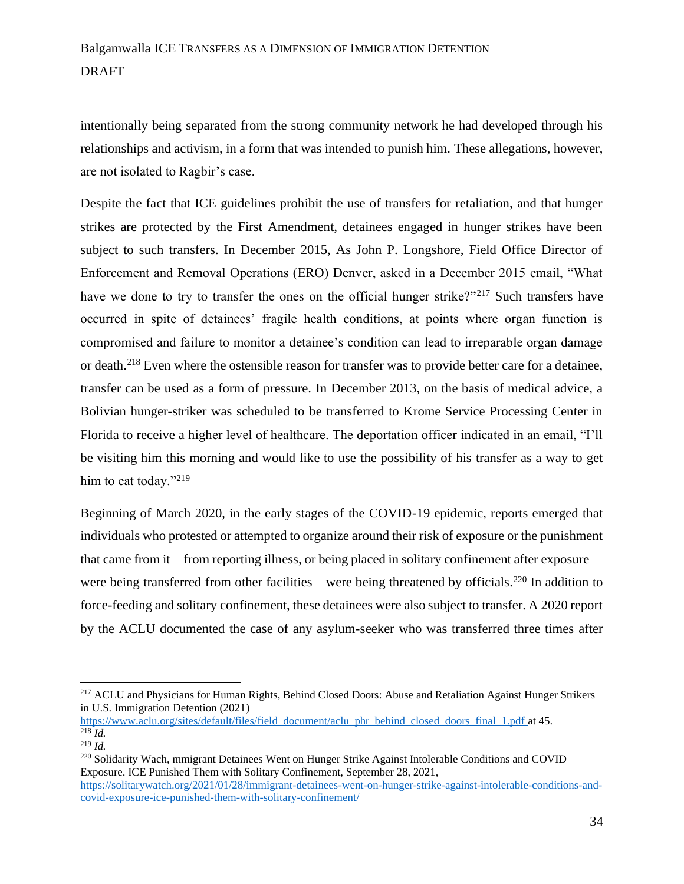intentionally being separated from the strong community network he had developed through his relationships and activism, in a form that was intended to punish him. These allegations, however, are not isolated to Ragbir's case.

Despite the fact that ICE guidelines prohibit the use of transfers for retaliation, and that hunger strikes are protected by the First Amendment, detainees engaged in hunger strikes have been subject to such transfers. In December 2015, As John P. Longshore, Field Office Director of Enforcement and Removal Operations (ERO) Denver, asked in a December 2015 email, "What have we done to try to transfer the ones on the official hunger strike?"<sup>217</sup> Such transfers have occurred in spite of detainees' fragile health conditions, at points where organ function is compromised and failure to monitor a detainee's condition can lead to irreparable organ damage or death.<sup>218</sup> Even where the ostensible reason for transfer was to provide better care for a detainee, transfer can be used as a form of pressure. In December 2013, on the basis of medical advice, a Bolivian hunger-striker was scheduled to be transferred to Krome Service Processing Center in Florida to receive a higher level of healthcare. The deportation officer indicated in an email, "I'll be visiting him this morning and would like to use the possibility of his transfer as a way to get him to eat today."<sup>219</sup>

Beginning of March 2020, in the early stages of the COVID-19 epidemic, reports emerged that individuals who protested or attempted to organize around their risk of exposure or the punishment that came from it—from reporting illness, or being placed in solitary confinement after exposure were being transferred from other facilities—were being threatened by officials.<sup>220</sup> In addition to force-feeding and solitary confinement, these detainees were also subject to transfer. A 2020 report by the ACLU documented the case of any asylum-seeker who was transferred three times after

[https://www.aclu.org/sites/default/files/field\\_document/aclu\\_phr\\_behind\\_closed\\_doors\\_final\\_1.pdf](https://www.aclu.org/sites/default/files/field_document/aclu_phr_behind_closed_doors_final_1.pdf) at 45.  $\overline{^{218}Id.}$ 

<sup>220</sup> Solidarity Wach, mmigrant Detainees Went on Hunger Strike Against Intolerable Conditions and COVID Exposure. ICE Punished Them with Solitary Confinement, September 28, 2021, [https://solitarywatch.org/2021/01/28/immigrant-detainees-went-on-hunger-strike-against-intolerable-conditions-and](https://solitarywatch.org/2021/01/28/immigrant-detainees-went-on-hunger-strike-against-intolerable-conditions-and-covid-exposure-ice-punished-them-with-solitary-confinement/)[covid-exposure-ice-punished-them-with-solitary-confinement/](https://solitarywatch.org/2021/01/28/immigrant-detainees-went-on-hunger-strike-against-intolerable-conditions-and-covid-exposure-ice-punished-them-with-solitary-confinement/)

34

<sup>&</sup>lt;sup>217</sup> ACLU and Physicians for Human Rights, Behind Closed Doors: Abuse and Retaliation Against Hunger Strikers in U.S. Immigration Detention (2021)

<sup>219</sup> *Id.*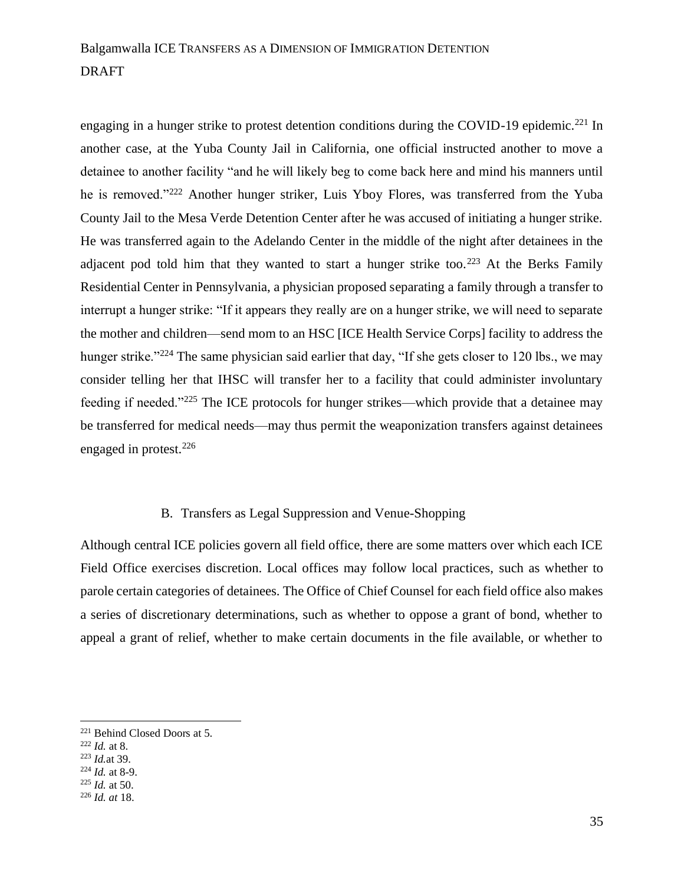engaging in a hunger strike to protest detention conditions during the COVID-19 epidemic.<sup>221</sup> In another case, at the Yuba County Jail in California, one official instructed another to move a detainee to another facility "and he will likely beg to come back here and mind his manners until he is removed."<sup>222</sup> Another hunger striker, Luis Yboy Flores, was transferred from the Yuba County Jail to the Mesa Verde Detention Center after he was accused of initiating a hunger strike. He was transferred again to the Adelando Center in the middle of the night after detainees in the adjacent pod told him that they wanted to start a hunger strike too.<sup>223</sup> At the Berks Family Residential Center in Pennsylvania, a physician proposed separating a family through a transfer to interrupt a hunger strike: "If it appears they really are on a hunger strike, we will need to separate the mother and children—send mom to an HSC [ICE Health Service Corps] facility to address the hunger strike."<sup>224</sup> The same physician said earlier that day, "If she gets closer to 120 lbs., we may consider telling her that IHSC will transfer her to a facility that could administer involuntary feeding if needed."<sup>225</sup> The ICE protocols for hunger strikes—which provide that a detainee may be transferred for medical needs—may thus permit the weaponization transfers against detainees engaged in protest.<sup>226</sup>

#### B. Transfers as Legal Suppression and Venue-Shopping

Although central ICE policies govern all field office, there are some matters over which each ICE Field Office exercises discretion. Local offices may follow local practices, such as whether to parole certain categories of detainees. The Office of Chief Counsel for each field office also makes a series of discretionary determinations, such as whether to oppose a grant of bond, whether to appeal a grant of relief, whether to make certain documents in the file available, or whether to

<sup>221</sup> Behind Closed Doors at 5.

<sup>222</sup> *Id.* at 8.

<sup>223</sup> *Id.*at 39.

<sup>224</sup> *Id.* at 8-9.

<sup>225</sup> *Id.* at 50.

<sup>226</sup> *Id. at* 18.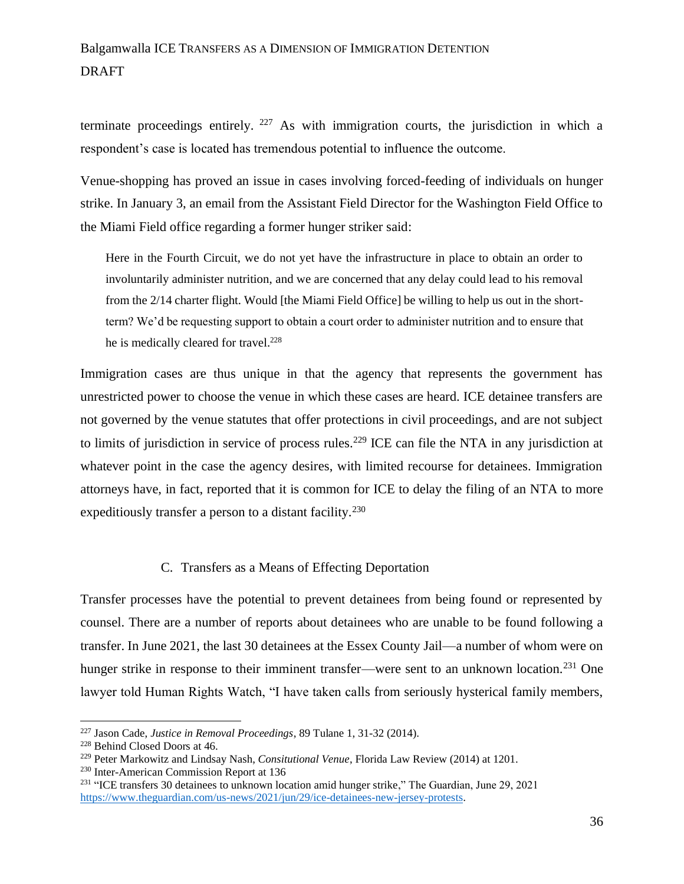terminate proceedings entirely.  $227$  As with immigration courts, the jurisdiction in which a respondent's case is located has tremendous potential to influence the outcome.

Venue-shopping has proved an issue in cases involving forced-feeding of individuals on hunger strike. In January 3, an email from the Assistant Field Director for the Washington Field Office to the Miami Field office regarding a former hunger striker said:

Here in the Fourth Circuit, we do not yet have the infrastructure in place to obtain an order to involuntarily administer nutrition, and we are concerned that any delay could lead to his removal from the 2/14 charter flight. Would [the Miami Field Office] be willing to help us out in the shortterm? We'd be requesting support to obtain a court order to administer nutrition and to ensure that he is medically cleared for travel.<sup>228</sup>

Immigration cases are thus unique in that the agency that represents the government has unrestricted power to choose the venue in which these cases are heard. ICE detainee transfers are not governed by the venue statutes that offer protections in civil proceedings, and are not subject to limits of jurisdiction in service of process rules.<sup>229</sup> ICE can file the NTA in any jurisdiction at whatever point in the case the agency desires, with limited recourse for detainees. Immigration attorneys have, in fact, reported that it is common for ICE to delay the filing of an NTA to more expeditiously transfer a person to a distant facility.<sup>230</sup>

#### C. Transfers as a Means of Effecting Deportation

Transfer processes have the potential to prevent detainees from being found or represented by counsel. There are a number of reports about detainees who are unable to be found following a transfer. In June 2021, the last 30 detainees at the Essex County Jail—a number of whom were on hunger strike in response to their imminent transfer—were sent to an unknown location.<sup>231</sup> One lawyer told Human Rights Watch, "I have taken calls from seriously hysterical family members,

<sup>227</sup> Jason Cade, *Justice in Removal Proceedings*, 89 Tulane 1, 31-32 (2014).

<sup>228</sup> Behind Closed Doors at 46.

<sup>229</sup> Peter Markowitz and Lindsay Nash, *Consitutional Venue*, Florida Law Review (2014) at 1201.

<sup>230</sup> Inter-American Commission Report at 136

<sup>&</sup>lt;sup>231</sup> "ICE transfers 30 detainees to unknown location amid hunger strike," The Guardian, June 29, 2021 [https://www.theguardian.com/us-news/2021/jun/29/ice-detainees-new-jersey-protests.](https://www.theguardian.com/us-news/2021/jun/29/ice-detainees-new-jersey-protests)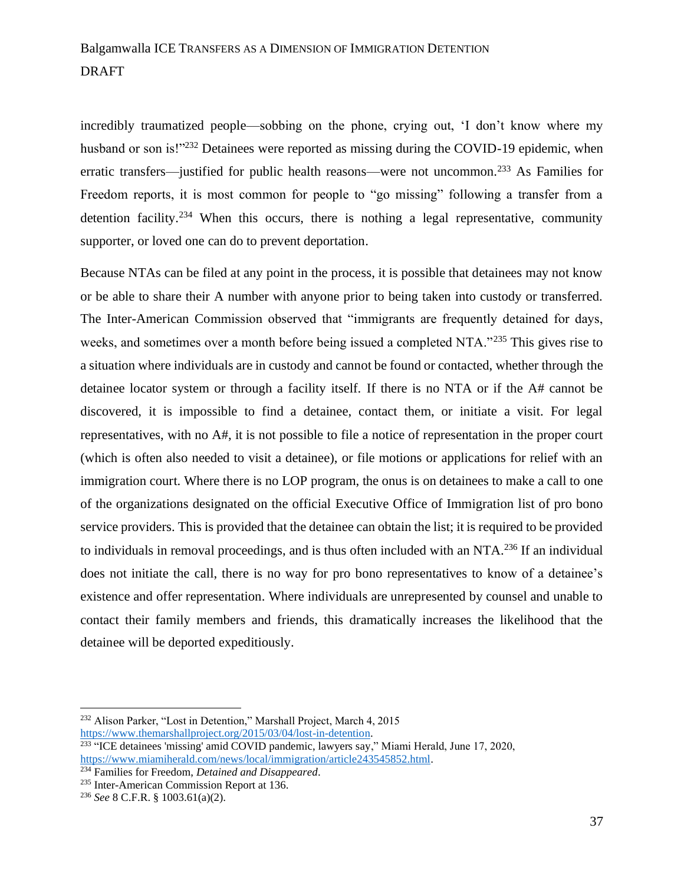incredibly traumatized people—sobbing on the phone, crying out, 'I don't know where my husband or son is!"<sup>232</sup> Detainees were reported as missing during the COVID-19 epidemic, when erratic transfers—justified for public health reasons—were not uncommon.<sup>233</sup> As Families for Freedom reports, it is most common for people to "go missing" following a transfer from a detention facility.<sup>234</sup> When this occurs, there is nothing a legal representative, community supporter, or loved one can do to prevent deportation.

Because NTAs can be filed at any point in the process, it is possible that detainees may not know or be able to share their A number with anyone prior to being taken into custody or transferred. The Inter-American Commission observed that "immigrants are frequently detained for days, weeks, and sometimes over a month before being issued a completed NTA."<sup>235</sup> This gives rise to a situation where individuals are in custody and cannot be found or contacted, whether through the detainee locator system or through a facility itself. If there is no NTA or if the A# cannot be discovered, it is impossible to find a detainee, contact them, or initiate a visit. For legal representatives, with no A#, it is not possible to file a notice of representation in the proper court (which is often also needed to visit a detainee), or file motions or applications for relief with an immigration court. Where there is no LOP program, the onus is on detainees to make a call to one of the organizations designated on the official Executive Office of Immigration list of pro bono service providers. This is provided that the detainee can obtain the list; it is required to be provided to individuals in removal proceedings, and is thus often included with an NTA.<sup>236</sup> If an individual does not initiate the call, there is no way for pro bono representatives to know of a detainee's existence and offer representation. Where individuals are unrepresented by counsel and unable to contact their family members and friends, this dramatically increases the likelihood that the detainee will be deported expeditiously.

<sup>232</sup> Alison Parker, "Lost in Detention," Marshall Project, March 4, 2015 [https://www.themarshallproject.org/2015/03/04/lost-in-detention.](https://www.themarshallproject.org/2015/03/04/lost-in-detention)

<sup>&</sup>lt;sup>233</sup> "ICE detainees 'missing' amid COVID pandemic, lawyers say," Miami Herald, June 17, 2020, [https://www.miamiherald.com/news/local/immigration/article243545852.html.](https://www.miamiherald.com/news/local/immigration/article243545852.html)

<sup>234</sup> Families for Freedom, *Detained and Disappeared*.

<sup>235</sup> Inter-American Commission Report at 136.

<sup>236</sup> *See* 8 C.F.R. § 1003.61(a)(2).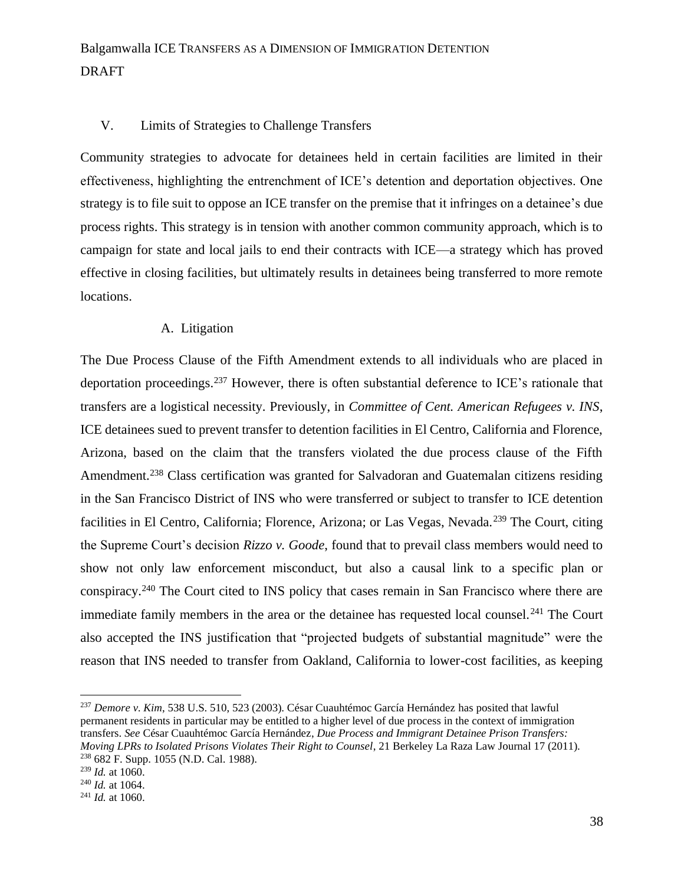#### V. Limits of Strategies to Challenge Transfers

Community strategies to advocate for detainees held in certain facilities are limited in their effectiveness, highlighting the entrenchment of ICE's detention and deportation objectives. One strategy is to file suit to oppose an ICE transfer on the premise that it infringes on a detainee's due process rights. This strategy is in tension with another common community approach, which is to campaign for state and local jails to end their contracts with ICE—a strategy which has proved effective in closing facilities, but ultimately results in detainees being transferred to more remote locations.

#### A. Litigation

The Due Process Clause of the Fifth Amendment extends to all individuals who are placed in deportation proceedings.<sup>237</sup> However, there is often substantial deference to ICE's rationale that transfers are a logistical necessity. Previously, in *Committee of Cent. American Refugees v. INS*, ICE detainees sued to prevent transfer to detention facilities in El Centro, California and Florence, Arizona, based on the claim that the transfers violated the due process clause of the Fifth Amendment.<sup>238</sup> Class certification was granted for Salvadoran and Guatemalan citizens residing in the San Francisco District of INS who were transferred or subject to transfer to ICE detention facilities in El Centro, California; Florence, Arizona; or Las Vegas, Nevada.<sup>239</sup> The Court, citing the Supreme Court's decision *Rizzo v. Goode*, found that to prevail class members would need to show not only law enforcement misconduct, but also a causal link to a specific plan or conspiracy.<sup>240</sup> The Court cited to INS policy that cases remain in San Francisco where there are immediate family members in the area or the detainee has requested local counsel.<sup>241</sup> The Court also accepted the INS justification that "projected budgets of substantial magnitude" were the reason that INS needed to transfer from Oakland, California to lower-cost facilities, as keeping

<sup>237</sup> *Demore v. Kim*, 538 U.S. 510, 523 (2003). César Cuauhtémoc García Hernández has posited that lawful permanent residents in particular may be entitled to a higher level of due process in the context of immigration transfers. *See* César Cuauhtémoc García Hernández, *Due Process and Immigrant Detainee Prison Transfers: Moving LPRs to Isolated Prisons Violates Their Right to Counsel*, 21 Berkeley La Raza Law Journal 17 (2011). <sup>238</sup> 682 F. Supp. 1055 (N.D. Cal. 1988).

<sup>239</sup> *Id.* at 1060.

<sup>240</sup> *Id.* at 1064.

<sup>241</sup> *Id.* at 1060.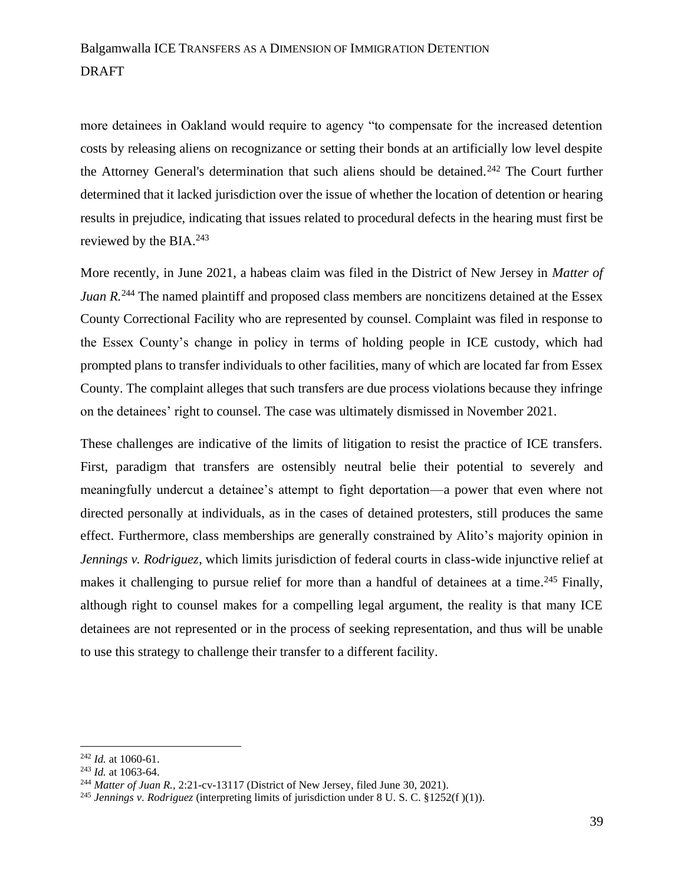more detainees in Oakland would require to agency "to compensate for the increased detention costs by releasing aliens on recognizance or setting their bonds at an artificially low level despite the Attorney General's determination that such aliens should be detained.<sup>242</sup> The Court further determined that it lacked jurisdiction over the issue of whether the location of detention or hearing results in prejudice, indicating that issues related to procedural defects in the hearing must first be reviewed by the BIA.<sup>243</sup>

More recently, in June 2021, a habeas claim was filed in the District of New Jersey in *Matter of Juan R.*<sup>244</sup> The named plaintiff and proposed class members are noncitizens detained at the Essex County Correctional Facility who are represented by counsel. Complaint was filed in response to the Essex County's change in policy in terms of holding people in ICE custody, which had prompted plans to transfer individuals to other facilities, many of which are located far from Essex County. The complaint alleges that such transfers are due process violations because they infringe on the detainees' right to counsel. The case was ultimately dismissed in November 2021.

These challenges are indicative of the limits of litigation to resist the practice of ICE transfers. First, paradigm that transfers are ostensibly neutral belie their potential to severely and meaningfully undercut a detainee's attempt to fight deportation—a power that even where not directed personally at individuals, as in the cases of detained protesters, still produces the same effect. Furthermore, class memberships are generally constrained by Alito's majority opinion in *Jennings v. Rodriguez*, which limits jurisdiction of federal courts in class-wide injunctive relief at makes it challenging to pursue relief for more than a handful of detainees at a time.<sup>245</sup> Finally, although right to counsel makes for a compelling legal argument, the reality is that many ICE detainees are not represented or in the process of seeking representation, and thus will be unable to use this strategy to challenge their transfer to a different facility.

<sup>242</sup> *Id.* at 1060-61.

<sup>243</sup> *Id.* at 1063-64.

<sup>244</sup> *Matter of Juan R.*, 2:21-cv-13117 (District of New Jersey, filed June 30, 2021).

<sup>&</sup>lt;sup>245</sup> *Jennings v. Rodriguez* (interpreting limits of jurisdiction under 8 U. S. C. §1252(f)(1)).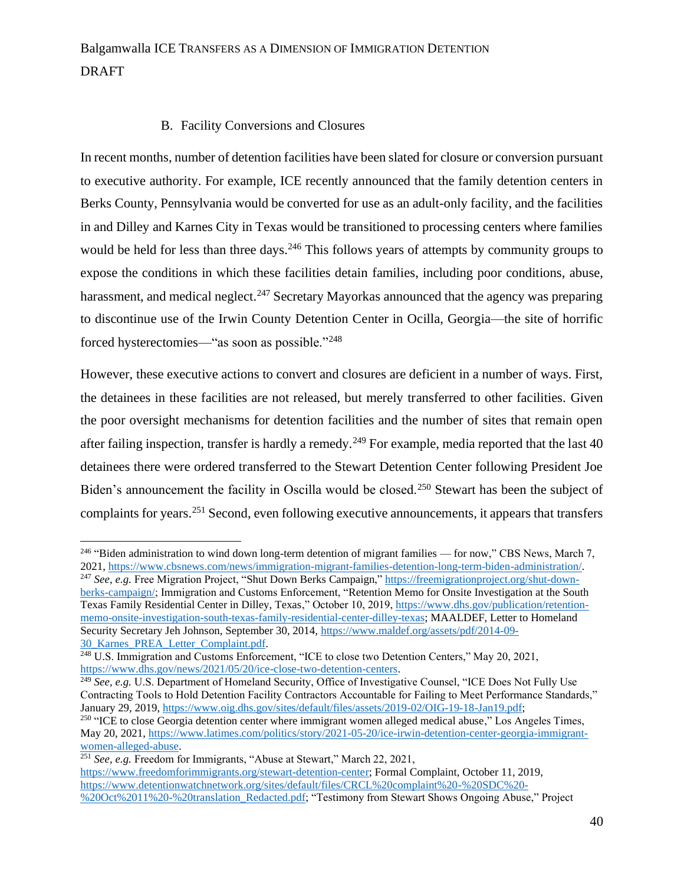### B. Facility Conversions and Closures

In recent months, number of detention facilities have been slated for closure or conversion pursuant to executive authority. For example, ICE recently announced that the family detention centers in Berks County, Pennsylvania would be converted for use as an adult-only facility, and the facilities in and Dilley and Karnes City in Texas would be transitioned to processing centers where families would be held for less than three days.<sup>246</sup> This follows years of attempts by community groups to expose the conditions in which these facilities detain families, including poor conditions, abuse, harassment, and medical neglect.<sup>247</sup> Secretary Mayorkas announced that the agency was preparing to discontinue use of the Irwin County Detention Center in Ocilla, Georgia—the site of horrific forced hysterectomies—"as soon as possible."<sup>248</sup>

However, these executive actions to convert and closures are deficient in a number of ways. First, the detainees in these facilities are not released, but merely transferred to other facilities. Given the poor oversight mechanisms for detention facilities and the number of sites that remain open after failing inspection, transfer is hardly a remedy.<sup>249</sup> For example, media reported that the last 40 detainees there were ordered transferred to the Stewart Detention Center following President Joe Biden's announcement the facility in Oscilla would be closed.<sup>250</sup> Stewart has been the subject of complaints for years.<sup>251</sup> Second, even following executive announcements, it appears that transfers

<sup>&</sup>lt;sup>246</sup> "Biden administration to wind down long-term detention of migrant families — for now," CBS News, March 7, 2021, [https://www.cbsnews.com/news/immigration-migrant-families-detention-long-term-biden-administration/.](https://www.cbsnews.com/news/immigration-migrant-families-detention-long-term-biden-administration/)

<sup>247</sup> *See, e.g.* Free Migration Project, "Shut Down Berks Campaign," [https://freemigrationproject.org/shut-down](https://freemigrationproject.org/shut-down-berks-campaign/)[berks-campaign/;](https://freemigrationproject.org/shut-down-berks-campaign/) Immigration and Customs Enforcement, "Retention Memo for Onsite Investigation at the South Texas Family Residential Center in Dilley, Texas," October 10, 2019, [https://www.dhs.gov/publication/retention](https://www.dhs.gov/publication/retention-memo-onsite-investigation-south-texas-family-residential-center-dilley-texas)[memo-onsite-investigation-south-texas-family-residential-center-dilley-texas;](https://www.dhs.gov/publication/retention-memo-onsite-investigation-south-texas-family-residential-center-dilley-texas) MAALDEF, Letter to Homeland Security Secretary Jeh Johnson, September 30, 2014, [https://www.maldef.org/assets/pdf/2014-09-](https://www.maldef.org/assets/pdf/2014-09-30_Karnes_PREA_Letter_Complaint.pdf) [30\\_Karnes\\_PREA\\_Letter\\_Complaint.pdf.](https://www.maldef.org/assets/pdf/2014-09-30_Karnes_PREA_Letter_Complaint.pdf)

<sup>&</sup>lt;sup>248</sup> U.S. Immigration and Customs Enforcement, "ICE to close two Detention Centers," May 20, 2021, [https://www.dhs.gov/news/2021/05/20/ice-close-two-detention-centers.](https://www.dhs.gov/news/2021/05/20/ice-close-two-detention-centers)

<sup>&</sup>lt;sup>249</sup> See, e.g. U.S. Department of Homeland Security, Office of Investigative Counsel, "ICE Does Not Fully Use Contracting Tools to Hold Detention Facility Contractors Accountable for Failing to Meet Performance Standards," January 29, 2019[, https://www.oig.dhs.gov/sites/default/files/assets/2019-02/OIG-19-18-Jan19.pdf;](https://www.oig.dhs.gov/sites/default/files/assets/2019-02/OIG-19-18-Jan19.pdf)

<sup>&</sup>lt;sup>250</sup> "ICE to close Georgia detention center where immigrant women alleged medical abuse," Los Angeles Times, May 20, 2021, [https://www.latimes.com/politics/story/2021-05-20/ice-irwin-detention-center-georgia-immigrant](https://www.latimes.com/politics/story/2021-05-20/ice-irwin-detention-center-georgia-immigrant-women-alleged-abuse)[women-alleged-abuse.](https://www.latimes.com/politics/story/2021-05-20/ice-irwin-detention-center-georgia-immigrant-women-alleged-abuse)

<sup>251</sup> *See, e.g.* Freedom for Immigrants, "Abuse at Stewart," March 22, 2021,

[https://www.freedomforimmigrants.org/stewart-detention-center;](https://www.freedomforimmigrants.org/stewart-detention-center) Formal Complaint, October 11, 2019, [https://www.detentionwatchnetwork.org/sites/default/files/CRCL%20complaint%20-%20SDC%20-](https://www.detentionwatchnetwork.org/sites/default/files/CRCL%20complaint%20-%20SDC%20-%20Oct%2011%20-%20translation_Redacted.pdf) [%20Oct%2011%20-%20translation\\_Redacted.pdf;](https://www.detentionwatchnetwork.org/sites/default/files/CRCL%20complaint%20-%20SDC%20-%20Oct%2011%20-%20translation_Redacted.pdf) "Testimony from Stewart Shows Ongoing Abuse," Project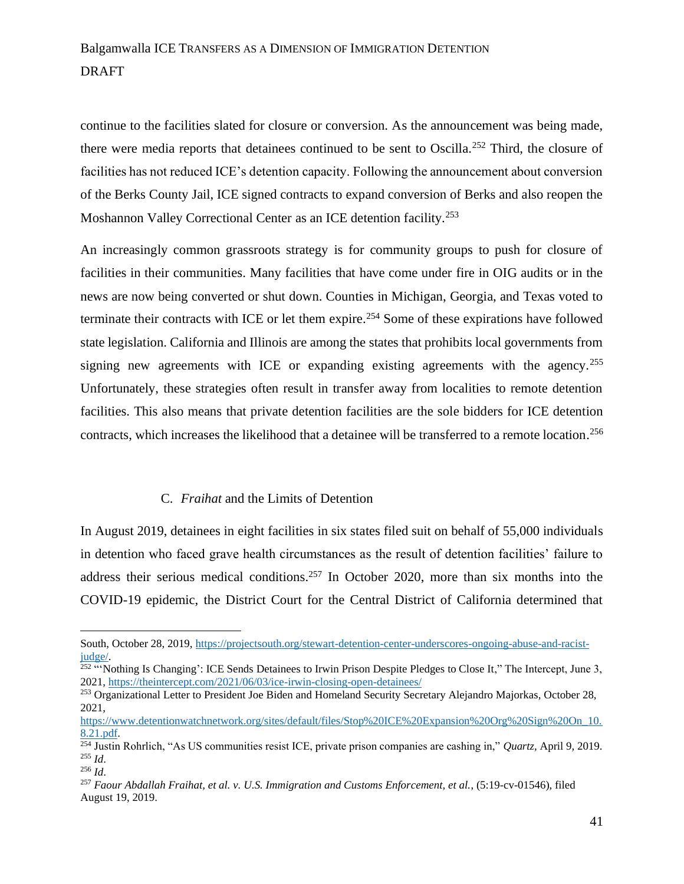continue to the facilities slated for closure or conversion. As the announcement was being made, there were media reports that detainees continued to be sent to Oscilla.<sup>252</sup> Third, the closure of facilities has not reduced ICE's detention capacity. Following the announcement about conversion of the Berks County Jail, ICE signed contracts to expand conversion of Berks and also reopen the Moshannon Valley Correctional Center as an ICE detention facility.<sup>253</sup>

An increasingly common grassroots strategy is for community groups to push for closure of facilities in their communities. Many facilities that have come under fire in OIG audits or in the news are now being converted or shut down. Counties in Michigan, Georgia, and Texas voted to terminate their contracts with ICE or let them expire.<sup>254</sup> Some of these expirations have followed state legislation. California and Illinois are among the states that prohibits local governments from signing new agreements with ICE or expanding existing agreements with the agency.<sup>255</sup> Unfortunately, these strategies often result in transfer away from localities to remote detention facilities. This also means that private detention facilities are the sole bidders for ICE detention contracts, which increases the likelihood that a detainee will be transferred to a remote location. 256

#### C. *Fraihat* and the Limits of Detention

In August 2019, detainees in eight facilities in six states filed suit on behalf of 55,000 individuals in detention who faced grave health circumstances as the result of detention facilities' failure to address their serious medical conditions.<sup>257</sup> In October 2020, more than six months into the COVID-19 epidemic, the District Court for the Central District of California determined that

South, October 28, 2019, [https://projectsouth.org/stewart-detention-center-underscores-ongoing-abuse-and-racist](https://projectsouth.org/stewart-detention-center-underscores-ongoing-abuse-and-racist-judge/)[judge/.](https://projectsouth.org/stewart-detention-center-underscores-ongoing-abuse-and-racist-judge/)<br><sup>252</sup> "Nothing Is Changing': ICE Sends Detainees to Irwin Prison Despite Pledges to Close It," The Intercept, June 3,

<sup>2021,</sup><https://theintercept.com/2021/06/03/ice-irwin-closing-open-detainees/>

<sup>&</sup>lt;sup>253</sup> Organizational Letter to President Joe Biden and Homeland Security Secretary Alejandro Majorkas, October 28, 2021,

[https://www.detentionwatchnetwork.org/sites/default/files/Stop%20ICE%20Expansion%20Org%20Sign%20On\\_10.](https://www.detentionwatchnetwork.org/sites/default/files/Stop%20ICE%20Expansion%20Org%20Sign%20On_10.8.21.pdf) [8.21.pdf.](https://www.detentionwatchnetwork.org/sites/default/files/Stop%20ICE%20Expansion%20Org%20Sign%20On_10.8.21.pdf) 

<sup>254</sup> Justin Rohrlich, "As US communities resist ICE, private prison companies are cashing in," *Quartz*, April 9, 2019. <sup>255</sup> *Id*.

<sup>256</sup> *Id*.

<sup>257</sup> *Faour Abdallah Fraihat, et al. v. U.S. Immigration and Customs Enforcement, et al.*, (5:19-cv-01546), filed August 19, 2019.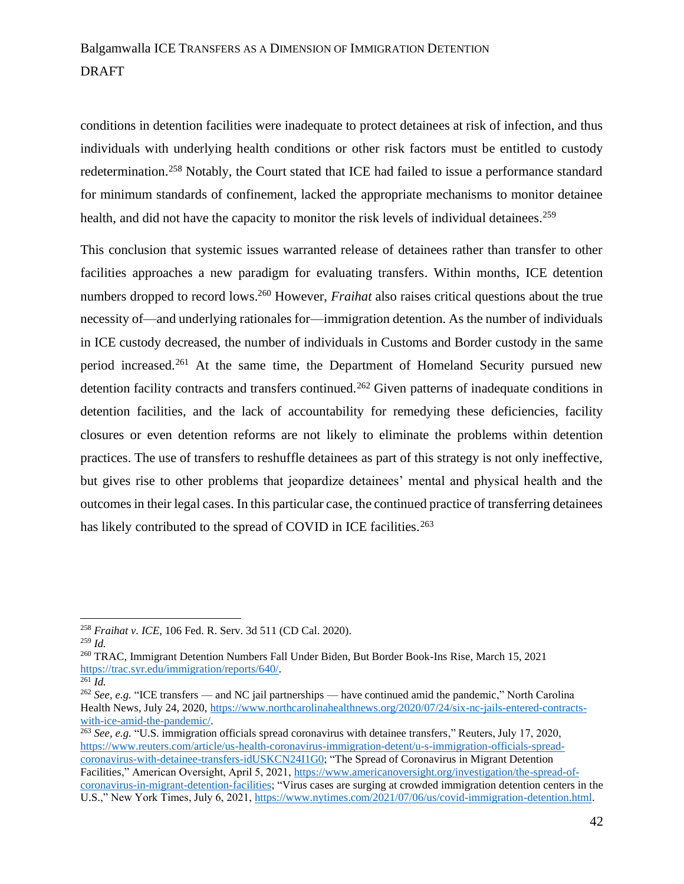conditions in detention facilities were inadequate to protect detainees at risk of infection, and thus individuals with underlying health conditions or other risk factors must be entitled to custody redetermination.<sup>258</sup> Notably, the Court stated that ICE had failed to issue a performance standard for minimum standards of confinement, lacked the appropriate mechanisms to monitor detainee health, and did not have the capacity to monitor the risk levels of individual detainees.<sup>259</sup>

This conclusion that systemic issues warranted release of detainees rather than transfer to other facilities approaches a new paradigm for evaluating transfers. Within months, ICE detention numbers dropped to record lows.<sup>260</sup> However, *Fraihat* also raises critical questions about the true necessity of—and underlying rationales for—immigration detention. As the number of individuals in ICE custody decreased, the number of individuals in Customs and Border custody in the same period increased.<sup>261</sup> At the same time, the Department of Homeland Security pursued new detention facility contracts and transfers continued.<sup>262</sup> Given patterns of inadequate conditions in detention facilities, and the lack of accountability for remedying these deficiencies, facility closures or even detention reforms are not likely to eliminate the problems within detention practices. The use of transfers to reshuffle detainees as part of this strategy is not only ineffective, but gives rise to other problems that jeopardize detainees' mental and physical health and the outcomes in their legal cases. In this particular case, the continued practice of transferring detainees has likely contributed to the spread of COVID in ICE facilities.<sup>263</sup>

<sup>258</sup> *Fraihat v. ICE*, 106 Fed. R. Serv. 3d 511 (CD Cal. 2020).

<sup>259</sup> *Id.*

<sup>260</sup> TRAC, Immigrant Detention Numbers Fall Under Biden, But Border Book-Ins Rise, March 15, 2021 [https://trac.syr.edu/immigration/reports/640/.](https://trac.syr.edu/immigration/reports/640/)

 $\overline{^{261}}$ *Id.* 

<sup>&</sup>lt;sup>262</sup> See, e.g. "ICE transfers — and NC jail partnerships — have continued amid the pandemic," North Carolina Health News, July 24, 2020, [https://www.northcarolinahealthnews.org/2020/07/24/six-nc-jails-entered-contracts](https://www.northcarolinahealthnews.org/2020/07/24/six-nc-jails-entered-contracts-with-ice-amid-the-pandemic/)[with-ice-amid-the-pandemic/.](https://www.northcarolinahealthnews.org/2020/07/24/six-nc-jails-entered-contracts-with-ice-amid-the-pandemic/)

<sup>&</sup>lt;sup>263</sup> *See, e.g.* "U.S. immigration officials spread coronavirus with detainee transfers," Reuters, July 17, 2020, [https://www.reuters.com/article/us-health-coronavirus-immigration-detent/u-s-immigration-officials-spread](https://www.reuters.com/article/us-health-coronavirus-immigration-detent/u-s-immigration-officials-spread-coronavirus-with-detainee-transfers-idUSKCN24I1G0)[coronavirus-with-detainee-transfers-idUSKCN24I1G0;](https://www.reuters.com/article/us-health-coronavirus-immigration-detent/u-s-immigration-officials-spread-coronavirus-with-detainee-transfers-idUSKCN24I1G0) "The Spread of Coronavirus in Migrant Detention Facilities," American Oversight, April 5, 2021, [https://www.americanoversight.org/investigation/the-spread-of](https://www.americanoversight.org/investigation/the-spread-of-coronavirus-in-migrant-detention-facilities)[coronavirus-in-migrant-detention-facilities;](https://www.americanoversight.org/investigation/the-spread-of-coronavirus-in-migrant-detention-facilities) "Virus cases are surging at crowded immigration detention centers in the U.S.," New York Times, July 6, 2021, [https://www.nytimes.com/2021/07/06/us/covid-immigration-detention.html.](https://www.nytimes.com/2021/07/06/us/covid-immigration-detention.html)